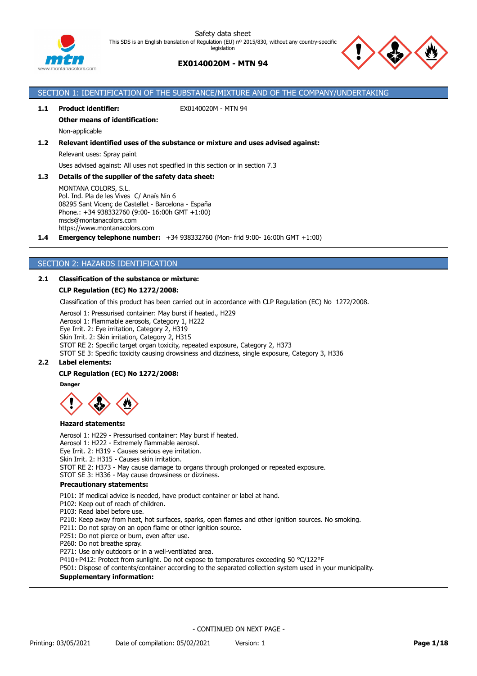



# **EX0140020M - MTN 94**

SECTION 1: IDENTIFICATION OF THE SUBSTANCE/MIXTURE AND OF THE COMPANY/UNDERTAKING

| 1.2 <sub>2</sub><br>1.3 | <b>Other means of identification:</b><br>Non-applicable<br>Relevant identified uses of the substance or mixture and uses advised against:<br>Relevant uses: Spray paint<br>Uses advised against: All uses not specified in this section or in section 7.3<br>Details of the supplier of the safety data sheet:<br>MONTANA COLORS, S.L.                                                                                                                                                                                                                                                                                                                                                                            |
|-------------------------|-------------------------------------------------------------------------------------------------------------------------------------------------------------------------------------------------------------------------------------------------------------------------------------------------------------------------------------------------------------------------------------------------------------------------------------------------------------------------------------------------------------------------------------------------------------------------------------------------------------------------------------------------------------------------------------------------------------------|
|                         |                                                                                                                                                                                                                                                                                                                                                                                                                                                                                                                                                                                                                                                                                                                   |
|                         |                                                                                                                                                                                                                                                                                                                                                                                                                                                                                                                                                                                                                                                                                                                   |
|                         |                                                                                                                                                                                                                                                                                                                                                                                                                                                                                                                                                                                                                                                                                                                   |
|                         |                                                                                                                                                                                                                                                                                                                                                                                                                                                                                                                                                                                                                                                                                                                   |
|                         |                                                                                                                                                                                                                                                                                                                                                                                                                                                                                                                                                                                                                                                                                                                   |
|                         |                                                                                                                                                                                                                                                                                                                                                                                                                                                                                                                                                                                                                                                                                                                   |
| 1.4                     | Pol. Ind. Pla de les Vives C/ Anaïs Nin 6<br>08295 Sant Vicenç de Castellet - Barcelona - España<br>Phone.: +34 938332760 (9:00- 16:00h GMT +1:00)<br>msds@montanacolors.com<br>https://www.montanacolors.com<br><b>Emergency telephone number:</b> $+34938332760$ (Mon- frid 9:00-16:00h GMT $+1:00$ )                                                                                                                                                                                                                                                                                                                                                                                                           |
|                         | SECTION 2: HAZARDS IDENTIFICATION                                                                                                                                                                                                                                                                                                                                                                                                                                                                                                                                                                                                                                                                                 |
| 2.1                     | <b>Classification of the substance or mixture:</b>                                                                                                                                                                                                                                                                                                                                                                                                                                                                                                                                                                                                                                                                |
|                         | <b>CLP Regulation (EC) No 1272/2008:</b>                                                                                                                                                                                                                                                                                                                                                                                                                                                                                                                                                                                                                                                                          |
|                         | Classification of this product has been carried out in accordance with CLP Regulation (EC) No 1272/2008.                                                                                                                                                                                                                                                                                                                                                                                                                                                                                                                                                                                                          |
| 2.2 <sub>2</sub>        | Aerosol 1: Pressurised container: May burst if heated., H229<br>Aerosol 1: Flammable aerosols, Category 1, H222<br>Eye Irrit. 2: Eye irritation, Category 2, H319<br>Skin Irrit. 2: Skin irritation, Category 2, H315<br>STOT RE 2: Specific target organ toxicity, repeated exposure, Category 2, H373<br>STOT SE 3: Specific toxicity causing drowsiness and dizziness, single exposure, Category 3, H336<br><b>Label elements:</b>                                                                                                                                                                                                                                                                             |
|                         | <b>CLP Regulation (EC) No 1272/2008:</b>                                                                                                                                                                                                                                                                                                                                                                                                                                                                                                                                                                                                                                                                          |
|                         | <b>Danger</b>                                                                                                                                                                                                                                                                                                                                                                                                                                                                                                                                                                                                                                                                                                     |
|                         |                                                                                                                                                                                                                                                                                                                                                                                                                                                                                                                                                                                                                                                                                                                   |
|                         | <b>Hazard statements:</b>                                                                                                                                                                                                                                                                                                                                                                                                                                                                                                                                                                                                                                                                                         |
|                         | Aerosol 1: H229 - Pressurised container: May burst if heated.<br>Aerosol 1: H222 - Extremely flammable aerosol.<br>Eye Irrit. 2: H319 - Causes serious eye irritation.<br>Skin Irrit. 2: H315 - Causes skin irritation.<br>STOT RE 2: H373 - May cause damage to organs through prolonged or repeated exposure.<br>STOT SE 3: H336 - May cause drowsiness or dizziness.                                                                                                                                                                                                                                                                                                                                           |
|                         | <b>Precautionary statements:</b>                                                                                                                                                                                                                                                                                                                                                                                                                                                                                                                                                                                                                                                                                  |
|                         | P101: If medical advice is needed, have product container or label at hand.<br>P102: Keep out of reach of children.<br>P103: Read label before use.<br>P210: Keep away from heat, hot surfaces, sparks, open flames and other ignition sources. No smoking.<br>P211: Do not spray on an open flame or other ignition source.<br>P251: Do not pierce or burn, even after use.<br>P260: Do not breathe spray.<br>P271: Use only outdoors or in a well-ventilated area.<br>P410+P412: Protect from sunlight. Do not expose to temperatures exceeding 50 °C/122°F<br>P501: Dispose of contents/container according to the separated collection system used in your municipality.<br><b>Supplementary information:</b> |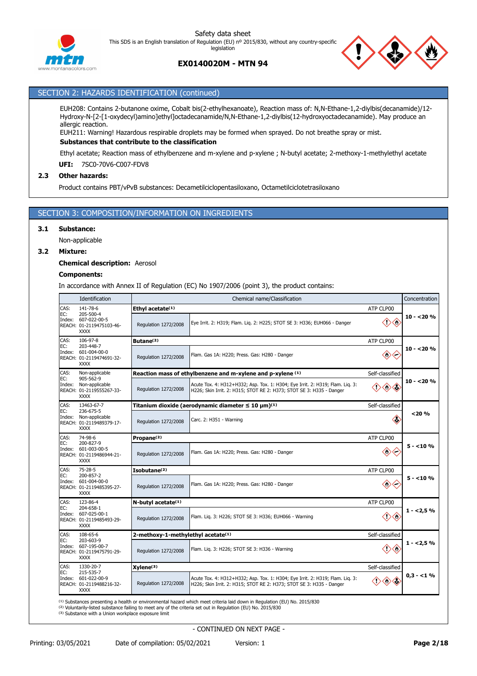



# **EX0140020M - MTN 94**

# SECTION 2: HAZARDS IDENTIFICATION (continued)

EUH208: Contains 2-butanone oxime, Cobalt bis(2-ethylhexanoate), Reaction mass of: N,N-Ethane-1,2-diylbis(decanamide)/12- Hydroxy-N-[2-[1-oxydecyl)amino]ethyl]octadecanamide/N,N-Ethane-1,2-diylbis(12-hydroxyoctadecanamide). May produce an allergic reaction.

EUH211: Warning! Hazardous respirable droplets may be formed when sprayed. Do not breathe spray or mist.

# **Substances that contribute to the classification**

Ethyl acetate; Reaction mass of ethylbenzene and m-xylene and p-xylene ; N-butyl acetate; 2-methoxy-1-methylethyl acetate

**UFI:** 7SC0-70V6-C007-FDV8

### **2.3 Other hazards:**

Product contains PBT/vPvB substances: Decametilciclopentasiloxano, Octametilciclotetrasiloxano

# SECTION 3: COMPOSITION/INFORMATION ON INGREDIENTS

### **3.1 Substance:**

Non-applicable

### **3.2 Mixture:**

### **Chemical description:** Aerosol

### **Components:**

In accordance with Annex II of Regulation (EC) No 1907/2006 (point 3), the product contains:

|      | Identification                                                                | Concentration<br>Chemical name/Classification  |                                                                                                                                                       |                 |             |  |  |  |
|------|-------------------------------------------------------------------------------|------------------------------------------------|-------------------------------------------------------------------------------------------------------------------------------------------------------|-----------------|-------------|--|--|--|
| CAS: | 141-78-6                                                                      | Ethyl acetate(1)<br>ATP CLP00                  |                                                                                                                                                       |                 |             |  |  |  |
| EC:  | 205-500-4<br>Index: 607-022-00-5<br>REACH: 01-2119475103-46-<br><b>XXXX</b>   | Regulation 1272/2008                           | Eye Irrit. 2: H319; Flam. Lig. 2: H225; STOT SE 3: H336; EUH066 - Danger                                                                              |                 | $10 - 20%$  |  |  |  |
| CAS: | 106-97-8                                                                      | Butane <sup>(2)</sup>                          |                                                                                                                                                       | ATP CLP00       |             |  |  |  |
| EC:  | 203-448-7<br>Index: 601-004-00-0<br>REACH: 01-2119474691-32-<br><b>XXXX</b>   | Regulation 1272/2008                           | Flam. Gas 1A: H220; Press. Gas: H280 - Danger                                                                                                         | ◇               | $10 - 20%$  |  |  |  |
| CAS: | Non-applicable                                                                |                                                | Reaction mass of ethylbenzene and m-xylene and p-xylene (1)                                                                                           | Self-classified |             |  |  |  |
| EC:  | 905-562-9<br>Index: Non-applicable<br>REACH: 01-2119555267-33-<br><b>XXXX</b> | Regulation 1272/2008                           | Acute Tox. 4: H312+H332; Asp. Tox. 1: H304; Eye Irrit. 2: H319; Flam. Lig. 3:<br>H226; Skin Irrit. 2: H315; STOT RE 2: H373; STOT SE 3: H335 - Danger | ◇               | $10 - 20%$  |  |  |  |
| CAS: | 13463-67-7                                                                    |                                                | Titanium dioxide (aerodynamic diameter $\leq 10 \ \mu m^{(1)}$                                                                                        | Self-classified |             |  |  |  |
| EC:  | 236-675-5<br>Index: Non-applicable<br>REACH: 01-2119489379-17-<br><b>XXXX</b> | Regulation 1272/2008                           | Carc. 2: H351 - Warning                                                                                                                               | K)              | $<$ 20 $%$  |  |  |  |
| CAS: | 74-98-6                                                                       | Propane <sup>(2)</sup>                         | ATP CLP00                                                                                                                                             |                 |             |  |  |  |
| EC:  | 200-827-9<br>Index: 601-003-00-5<br>REACH: 01-2119486944-21-<br><b>XXXX</b>   | Regulation 1272/2008                           | Flam. Gas 1A: H220; Press. Gas: H280 - Danger                                                                                                         | ◇               | 5 - <10 %   |  |  |  |
| CAS: | 75-28-5                                                                       | Isobutane <sup>(2)</sup>                       |                                                                                                                                                       | ATP CLP00       |             |  |  |  |
| EC:  | 200-857-2<br>Index: 601-004-00-0<br>REACH: 01-2119485395-27-<br><b>XXXX</b>   | Regulation 1272/2008                           | Flam. Gas 1A: H220; Press. Gas: H280 - Danger                                                                                                         | ◇               | $5 - 10%$   |  |  |  |
| CAS: | 123-86-4                                                                      | N-butyl acetate(1)                             |                                                                                                                                                       | ATP CLP00       |             |  |  |  |
| EC:  | 204-658-1<br>Index: 607-025-00-1<br>REACH: 01-2119485493-29-<br><b>XXXX</b>   | Regulation 1272/2008                           | Flam. Lig. 3: H226; STOT SE 3: H336; EUH066 - Warning                                                                                                 | $\diamondsuit$  | $1 - 2,5%$  |  |  |  |
| CAS: | 108-65-6                                                                      | 2-methoxy-1-methylethyl acetate <sup>(1)</sup> |                                                                                                                                                       | Self-classified |             |  |  |  |
| EC:  | 203-603-9<br>Index: 607-195-00-7<br>REACH: 01-2119475791-29-<br><b>XXXX</b>   | Regulation 1272/2008                           | Flam. Liq. 3: H226; STOT SE 3: H336 - Warning                                                                                                         | Œ               | $1 - 2.5%$  |  |  |  |
| CAS: | 1330-20-7                                                                     | $X$ ylene $(3)$                                |                                                                                                                                                       | Self-classified |             |  |  |  |
| EC:  | 215-535-7<br>Index: 601-022-00-9<br>REACH: 01-2119488216-32-<br><b>XXXX</b>   | Regulation 1272/2008                           | Acute Tox. 4: H312+H332; Asp. Tox. 1: H304; Eye Irrit. 2: H319; Flam. Liq. 3:<br>H226; Skin Irrit. 2: H315; STOT RE 2: H373; STOT SE 3: H335 - Danger |                 | $0.3 - 1\%$ |  |  |  |

<sup>(1)</sup> Substances presenting a health or environmental hazard which meet criteria laid down in Regulation (EU) No. 2015/830 <sup>(2)</sup> Voluntarily-listed substance failing to meet any of the criteria set out in Regulation (EU) No. 2015/830

(3) Substance with a Union workplace exposure limit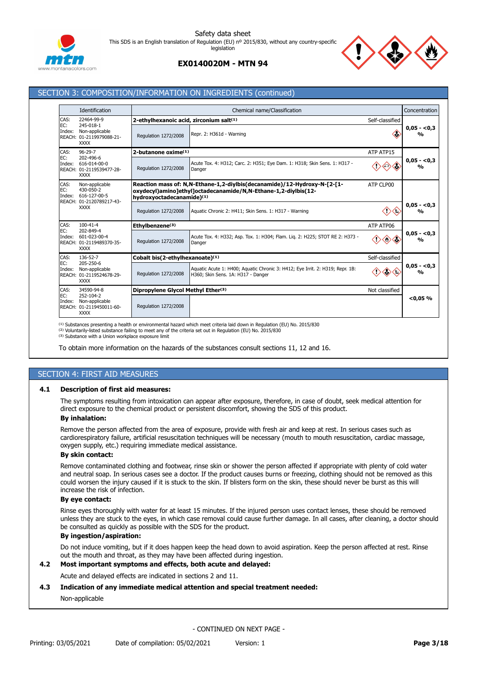



# **EX0140020M - MTN 94**

# SECTION 3: COMPOSITION/INFORMATION ON INGREDIENTS (continued)

|                       | Identification                                                                         |                                                    | Concentration<br>Chemical name/Classification                                                                                              |                 |                               |  |  |  |  |
|-----------------------|----------------------------------------------------------------------------------------|----------------------------------------------------|--------------------------------------------------------------------------------------------------------------------------------------------|-----------------|-------------------------------|--|--|--|--|
| CAS:                  | 22464-99-9                                                                             | 2-ethylhexanoic acid, zirconium salt(1)            |                                                                                                                                            | Self-classified |                               |  |  |  |  |
| EC:<br>Index:         | 245-018-1<br>Non-applicable<br>REACH: 01-2119979088-21-<br><b>XXXX</b>                 | Regulation 1272/2008                               | Repr. 2: H361d - Warning                                                                                                                   |                 |                               |  |  |  |  |
| CAS:                  | $96 - 29 - 7$                                                                          | 2-butanone oxime(1)                                |                                                                                                                                            | ATP ATP15       |                               |  |  |  |  |
| EC:<br>Index:         | 202-496-6<br>616-014-00-0<br>REACH: 01-2119539477-28-<br><b>XXXX</b>                   | Regulation 1272/2008                               | Acute Tox. 4: H312; Carc. 2: H351; Eye Dam. 1: H318; Skin Sens. 1: H317 -<br>Danger                                                        |                 | $0,05 - 0,3$<br>$\frac{0}{0}$ |  |  |  |  |
| CAS:<br>EC:<br>Index: | Non-applicable<br>430-050-2<br>616-127-00-5                                            | hydroxyoctadecanamide)(1)                          | Reaction mass of: N,N-Ethane-1,2-diylbis(decanamide)/12-Hydroxy-N-[2-[1-<br>oxydecyl)amino]ethyl]octadecanamide/N,N-Ethane-1,2-diylbis(12- | ATP CLP00       |                               |  |  |  |  |
|                       | REACH: 01-2120789217-43-<br><b>XXXX</b>                                                | Regulation 1272/2008                               | Aquatic Chronic 2: H411; Skin Sens. 1: H317 - Warning                                                                                      |                 | $0,05 - 0,3$<br>$\frac{0}{0}$ |  |  |  |  |
| CAS:                  | $100 - 41 - 4$<br>202-849-4<br>601-023-00-4<br>REACH: 01-2119489370-35-<br><b>XXXX</b> | Ethylbenzene <sup>(3)</sup>                        | ATP ATP06                                                                                                                                  |                 |                               |  |  |  |  |
| EC:<br>Index:         |                                                                                        | Regulation 1272/2008                               | Acute Tox. 4: H332; Asp. Tox. 1: H304; Flam. Lig. 2: H225; STOT RE 2: H373 -<br>Danger                                                     |                 | $0.05 - 0.3$<br>$\frac{0}{0}$ |  |  |  |  |
| CAS:                  | 136-52-7                                                                               | Cobalt bis(2-ethylhexanoate)(1)<br>Self-classified |                                                                                                                                            |                 |                               |  |  |  |  |
| EC:<br>Index:         | 205-250-6<br>Non-applicable<br>REACH: 01-2119524678-29-<br><b>XXXX</b>                 | Regulation 1272/2008                               | Aquatic Acute 1: H400; Aquatic Chronic 3: H412; Eye Irrit. 2: H319; Repr. 1B:<br>H360; Skin Sens. 1A: H317 - Danger                        |                 | $0.05 - 0.3$<br>$\frac{0}{0}$ |  |  |  |  |
| CAS:                  | 34590-94-8                                                                             | Dipropylene Glycol Methyl Ether(3)                 |                                                                                                                                            | Not classified  |                               |  |  |  |  |
| EC:<br>Index:         | 252-104-2<br>Non-applicable<br>REACH: 01-2119450011-60-<br><b>XXXX</b>                 | Regulation 1272/2008                               |                                                                                                                                            |                 | < 0.05 %                      |  |  |  |  |

<sup>(1)</sup> Substances presenting a health or environmental hazard which meet criteria laid down in Regulation (EU) No. 2015/830

<sup>(2)</sup> Voluntarily-listed substance failing to meet any of the criteria set out in Regulation (EU) No. 2015/830

<sup>(3)</sup> Substance with a Union workplace exposure limit

To obtain more information on the hazards of the substances consult sections 11, 12 and 16.

# SECTION 4: FIRST AID MEASURES

### **4.1 Description of first aid measures:**

The symptoms resulting from intoxication can appear after exposure, therefore, in case of doubt, seek medical attention for direct exposure to the chemical product or persistent discomfort, showing the SDS of this product.

# **By inhalation:**

Remove the person affected from the area of exposure, provide with fresh air and keep at rest. In serious cases such as cardiorespiratory failure, artificial resuscitation techniques will be necessary (mouth to mouth resuscitation, cardiac massage, oxygen supply, etc.) requiring immediate medical assistance.

### **By skin contact:**

Remove contaminated clothing and footwear, rinse skin or shower the person affected if appropriate with plenty of cold water and neutral soap. In serious cases see a doctor. If the product causes burns or freezing, clothing should not be removed as this could worsen the injury caused if it is stuck to the skin. If blisters form on the skin, these should never be burst as this will increase the risk of infection.

### **By eye contact:**

Rinse eyes thoroughly with water for at least 15 minutes. If the injured person uses contact lenses, these should be removed unless they are stuck to the eyes, in which case removal could cause further damage. In all cases, after cleaning, a doctor should be consulted as quickly as possible with the SDS for the product.

### **By ingestion/aspiration:**

Do not induce vomiting, but if it does happen keep the head down to avoid aspiration. Keep the person affected at rest. Rinse out the mouth and throat, as they may have been affected during ingestion.

### **4.2 Most important symptoms and effects, both acute and delayed:**

Acute and delayed effects are indicated in sections 2 and 11.

### **4.3 Indication of any immediate medical attention and special treatment needed:**

### Non-applicable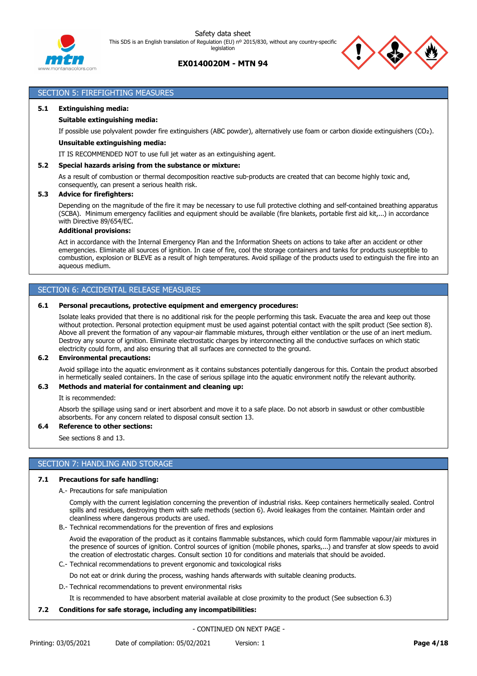

# **EX0140020M - MTN 94**



# SECTION 5: FIREFIGHTING MEASURES

### **5.1 Extinguishing media:**

### **Suitable extinguishing media:**

If possible use polyvalent powder fire extinguishers (ABC powder), alternatively use foam or carbon dioxide extinguishers (CO₂).

### **Unsuitable extinguishing media:**

IT IS RECOMMENDED NOT to use full jet water as an extinguishing agent.

### **5.2 Special hazards arising from the substance or mixture:**

As a result of combustion or thermal decomposition reactive sub-products are created that can become highly toxic and, consequently, can present a serious health risk.

### **5.3 Advice for firefighters:**

Depending on the magnitude of the fire it may be necessary to use full protective clothing and self-contained breathing apparatus (SCBA). Minimum emergency facilities and equipment should be available (fire blankets, portable first aid kit,...) in accordance with Directive 89/654/EC.

### **Additional provisions:**

Act in accordance with the Internal Emergency Plan and the Information Sheets on actions to take after an accident or other emergencies. Eliminate all sources of ignition. In case of fire, cool the storage containers and tanks for products susceptible to combustion, explosion or BLEVE as a result of high temperatures. Avoid spillage of the products used to extinguish the fire into an aqueous medium.

# SECTION 6: ACCIDENTAL RELEASE MEASURES

### **6.1 Personal precautions, protective equipment and emergency procedures:**

Isolate leaks provided that there is no additional risk for the people performing this task. Evacuate the area and keep out those without protection. Personal protection equipment must be used against potential contact with the spilt product (See section 8). Above all prevent the formation of any vapour-air flammable mixtures, through either ventilation or the use of an inert medium. Destroy any source of ignition. Eliminate electrostatic charges by interconnecting all the conductive surfaces on which static electricity could form, and also ensuring that all surfaces are connected to the ground.

### **6.2 Environmental precautions:**

Avoid spillage into the aquatic environment as it contains substances potentially dangerous for this. Contain the product absorbed in hermetically sealed containers. In the case of serious spillage into the aquatic environment notify the relevant authority.

### **6.3 Methods and material for containment and cleaning up:**

It is recommended:

Absorb the spillage using sand or inert absorbent and move it to a safe place. Do not absorb in sawdust or other combustible absorbents. For any concern related to disposal consult section 13.

### **6.4 Reference to other sections:**

See sections 8 and 13.

### SECTION 7: HANDLING AND STORAGE

### **7.1 Precautions for safe handling:**

A.- Precautions for safe manipulation

Comply with the current legislation concerning the prevention of industrial risks. Keep containers hermetically sealed. Control spills and residues, destroying them with safe methods (section 6). Avoid leakages from the container. Maintain order and cleanliness where dangerous products are used.

B.- Technical recommendations for the prevention of fires and explosions

Avoid the evaporation of the product as it contains flammable substances, which could form flammable vapour/air mixtures in the presence of sources of ignition. Control sources of ignition (mobile phones, sparks,...) and transfer at slow speeds to avoid the creation of electrostatic charges. Consult section 10 for conditions and materials that should be avoided.

- C.- Technical recommendations to prevent ergonomic and toxicological risks
	- Do not eat or drink during the process, washing hands afterwards with suitable cleaning products.
- D.- Technical recommendations to prevent environmental risks

It is recommended to have absorbent material available at close proximity to the product (See subsection 6.3)

### **7.2 Conditions for safe storage, including any incompatibilities:**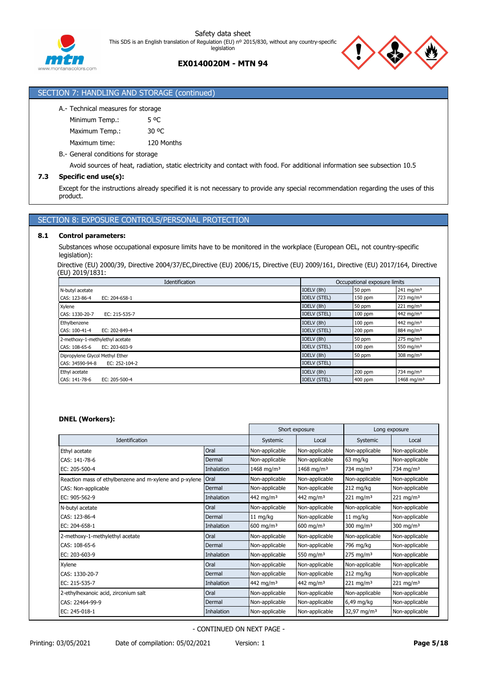

# SECTION 7: HANDLING AND STORAGE (continued)

# A.- Technical measures for storage

Minimum Temp.: 5 °C Maximum Temp.: 30 °C Maximum time: 120 Months

B.- General conditions for storage

Avoid sources of heat, radiation, static electricity and contact with food. For additional information see subsection 10.5

### **7.3 Specific end use(s):**

Except for the instructions already specified it is not necessary to provide any special recommendation regarding the uses of this product.

# SECTION 8: EXPOSURE CONTROLS/PERSONAL PROTECTION

### **8.1 Control parameters:**

Substances whose occupational exposure limits have to be monitored in the workplace (European OEL, not country-specific legislation):

Directive (EU) 2000/39, Directive 2004/37/EC,Directive (EU) 2006/15, Directive (EU) 2009/161, Directive (EU) 2017/164, Directive (EU) 2019/1831:

| <b>Identification</b>            | Occupational exposure limits |           |                         |  |
|----------------------------------|------------------------------|-----------|-------------------------|--|
| N-butyl acetate                  | IOELV (8h)                   | 50 ppm    | 241 mg/m <sup>3</sup>   |  |
| CAS: 123-86-4<br>EC: 204-658-1   | <b>IOELV (STEL)</b>          | $150$ ppm | $723$ mg/m <sup>3</sup> |  |
| Xylene                           | IOELV (8h)                   | 50 ppm    | $221 \text{ mg/m}^3$    |  |
| CAS: 1330-20-7<br>EC: 215-535-7  | <b>IOELV (STEL)</b>          | $100$ ppm | 442 mg/m <sup>3</sup>   |  |
| Ethylbenzene                     | IOELV (8h)                   | $100$ ppm | 442 mg/m <sup>3</sup>   |  |
| CAS: 100-41-4<br>EC: 202-849-4   | <b>IOELV (STEL)</b>          | 200 ppm   | 884 mg/m <sup>3</sup>   |  |
| 2-methoxy-1-methylethyl acetate  | IOELV (8h)                   | 50 ppm    | $275 \text{ mg/m}^3$    |  |
| EC: 203-603-9<br>CAS: 108-65-6   | <b>IOELV (STEL)</b>          | $100$ ppm | 550 mg/m $3$            |  |
| Dipropylene Glycol Methyl Ether  | IOELV (8h)                   | 50 ppm    | 308 mg/m $3$            |  |
| CAS: 34590-94-8<br>EC: 252-104-2 | <b>IOELV (STEL)</b>          |           |                         |  |
| Ethyl acetate                    | IOELV (8h)                   | $200$ ppm | 734 mg/m <sup>3</sup>   |  |
| CAS: 141-78-6<br>EC: 205-500-4   | <b>IOELV (STEL)</b>          | 400 ppm   | 1468 mg/m <sup>3</sup>  |  |

### **DNEL (Workers):**

|                                                              |            | Short exposure          |                        | Long exposure           |                       |
|--------------------------------------------------------------|------------|-------------------------|------------------------|-------------------------|-----------------------|
| Identification                                               |            | Systemic                | Local                  | Systemic                | Local                 |
| Ethyl acetate                                                | Oral       | Non-applicable          | Non-applicable         | Non-applicable          | Non-applicable        |
| CAS: 141-78-6                                                | Dermal     | Non-applicable          | Non-applicable         | $63$ mg/kg              | Non-applicable        |
| EC: 205-500-4                                                | Inhalation | 1468 mg/m <sup>3</sup>  | 1468 mg/m <sup>3</sup> | 734 mg/m <sup>3</sup>   | 734 mg/m <sup>3</sup> |
| Reaction mass of ethylbenzene and m-xylene and p-xylene Oral |            | Non-applicable          | Non-applicable         | Non-applicable          | Non-applicable        |
| CAS: Non-applicable                                          | Dermal     | Non-applicable          | Non-applicable         | 212 mg/kg               | Non-applicable        |
| EC: 905-562-9                                                | Inhalation | 442 mg/m <sup>3</sup>   | 442 mg/m <sup>3</sup>  | 221 mg/m <sup>3</sup>   | 221 mg/m <sup>3</sup> |
| N-butyl acetate                                              | Oral       | Non-applicable          | Non-applicable         | Non-applicable          | Non-applicable        |
| CAS: 123-86-4                                                | Dermal     | $11 \text{ mg/kg}$      | Non-applicable         | $11$ mg/kg              | Non-applicable        |
| EC: 204-658-1                                                | Inhalation | $600$ mg/m <sup>3</sup> | 600 mg/m $3$           | 300 mg/m $3$            | 300 mg/m $3$          |
| 2-methoxy-1-methylethyl acetate                              | Oral       | Non-applicable          | Non-applicable         | Non-applicable          | Non-applicable        |
| CAS: 108-65-6                                                | Dermal     | Non-applicable          | Non-applicable         | 796 mg/kg               | Non-applicable        |
| EC: 203-603-9                                                | Inhalation | Non-applicable          | 550 mg/m $3$           | $275$ mg/m <sup>3</sup> | Non-applicable        |
| Xylene                                                       | Oral       | Non-applicable          | Non-applicable         | Non-applicable          | Non-applicable        |
| CAS: 1330-20-7                                               | Dermal     | Non-applicable          | Non-applicable         | 212 mg/kg               | Non-applicable        |
| EC: 215-535-7                                                | Inhalation | 442 mg/m <sup>3</sup>   | 442 mg/m <sup>3</sup>  | $221 \,\mathrm{mg/m^3}$ | $221 \text{ mg/m}^3$  |
| 2-ethylhexanoic acid, zirconium salt                         | Oral       | Non-applicable          | Non-applicable         | Non-applicable          | Non-applicable        |
| CAS: 22464-99-9                                              | Dermal     | Non-applicable          | Non-applicable         | 6,49 mg/kg              | Non-applicable        |
| EC: 245-018-1                                                | Inhalation | Non-applicable          | Non-applicable         | 32,97 mg/m <sup>3</sup> | Non-applicable        |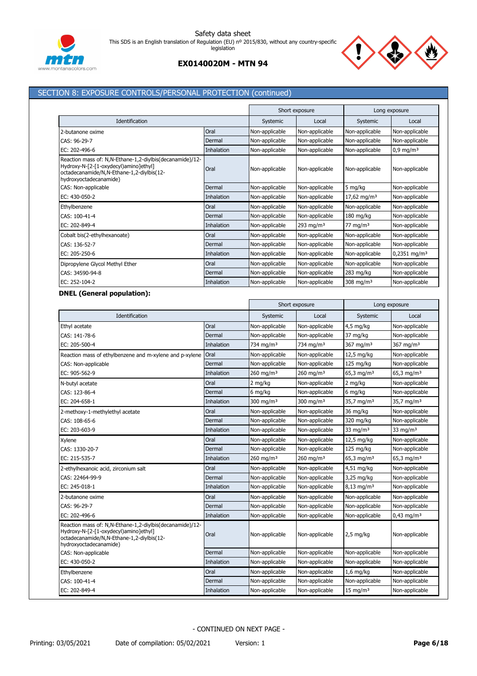



# SECTION 8: EXPOSURE CONTROLS/PERSONAL PROTECTION (continued)

|                                                                                                                                                                             |            | Short exposure |                | Long exposure           |                            |
|-----------------------------------------------------------------------------------------------------------------------------------------------------------------------------|------------|----------------|----------------|-------------------------|----------------------------|
| Identification                                                                                                                                                              |            | Systemic       | Local          | Systemic                | Local                      |
| 2-butanone oxime                                                                                                                                                            | Oral       | Non-applicable | Non-applicable | Non-applicable          | Non-applicable             |
| CAS: 96-29-7                                                                                                                                                                | Dermal     | Non-applicable | Non-applicable | Non-applicable          | Non-applicable             |
| EC: 202-496-6                                                                                                                                                               | Inhalation | Non-applicable | Non-applicable | Non-applicable          | $0.9 \,\mathrm{mg/m^3}$    |
| Reaction mass of: N, N-Ethane-1, 2-diylbis (decanamide)/12-<br>Hydroxy-N-[2-[1-oxydecyl)amino]ethyl]<br>octadecanamide/N,N-Ethane-1,2-diylbis(12-<br>hydroxyoctadecanamide) | Oral       | Non-applicable | Non-applicable | Non-applicable          | Non-applicable             |
| CAS: Non-applicable                                                                                                                                                         | Dermal     | Non-applicable | Non-applicable | 5 mg/kg                 | Non-applicable             |
| EC: 430-050-2                                                                                                                                                               | Inhalation | Non-applicable | Non-applicable | 17,62 mg/m <sup>3</sup> | Non-applicable             |
| Ethylbenzene                                                                                                                                                                | Oral       | Non-applicable | Non-applicable | Non-applicable          | Non-applicable             |
| CAS: 100-41-4                                                                                                                                                               | Dermal     | Non-applicable | Non-applicable | $180$ mg/kg             | Non-applicable             |
| EC: 202-849-4                                                                                                                                                               | Inhalation | Non-applicable | 293 mg/m $3$   | $77 \text{ mg/m}^3$     | Non-applicable             |
| Cobalt bis(2-ethylhexanoate)                                                                                                                                                | Oral       | Non-applicable | Non-applicable | Non-applicable          | Non-applicable             |
| CAS: 136-52-7                                                                                                                                                               | Dermal     | Non-applicable | Non-applicable | Non-applicable          | Non-applicable             |
| EC: 205-250-6                                                                                                                                                               | Inhalation | Non-applicable | Non-applicable | Non-applicable          | $0,2351$ mg/m <sup>3</sup> |
| Dipropylene Glycol Methyl Ether                                                                                                                                             | Oral       | Non-applicable | Non-applicable | Non-applicable          | Non-applicable             |
| CAS: 34590-94-8                                                                                                                                                             | Dermal     | Non-applicable | Non-applicable | 283 mg/kg               | Non-applicable             |
| EC: 252-104-2                                                                                                                                                               | Inhalation | Non-applicable | Non-applicable | 308 mg/m $3$            | Non-applicable             |

# **DNEL (General population):**

|                                                                                                                                                                          |            | Short exposure          |                         | Long exposure            |                          |
|--------------------------------------------------------------------------------------------------------------------------------------------------------------------------|------------|-------------------------|-------------------------|--------------------------|--------------------------|
| Identification                                                                                                                                                           |            | Systemic                | Local                   | Systemic                 | Local                    |
| Ethyl acetate                                                                                                                                                            | Oral       | Non-applicable          | Non-applicable          | $4,5$ mg/kg              | Non-applicable           |
| CAS: 141-78-6                                                                                                                                                            | Dermal     | Non-applicable          | Non-applicable          | 37 mg/kg                 | Non-applicable           |
| EC: 205-500-4                                                                                                                                                            | Inhalation | $734$ ma/m <sup>3</sup> | $734$ ma/m <sup>3</sup> | 367 mg/m $3$             | 367 mg/m $3$             |
| Reaction mass of ethylbenzene and m-xylene and p-xylene                                                                                                                  | Oral       | Non-applicable          | Non-applicable          | 12,5 mg/kg               | Non-applicable           |
| CAS: Non-applicable                                                                                                                                                      | Dermal     | Non-applicable          | Non-applicable          | 125 mg/kg                | Non-applicable           |
| EC: 905-562-9                                                                                                                                                            | Inhalation | $260$ mg/m <sup>3</sup> | $260$ mg/m <sup>3</sup> | 65,3 mg/m <sup>3</sup>   | $65,3$ mg/m <sup>3</sup> |
| N-butyl acetate                                                                                                                                                          | Oral       | 2 mg/kg                 | Non-applicable          | 2 mg/kg                  | Non-applicable           |
| CAS: 123-86-4                                                                                                                                                            | Dermal     | 6 mg/kg                 | Non-applicable          | 6 mg/kg                  | Non-applicable           |
| EC: 204-658-1                                                                                                                                                            | Inhalation | 300 mg/m $3$            | 300 mg/m $3$            | 35,7 mg/m <sup>3</sup>   | 35,7 mg/m <sup>3</sup>   |
| 2-methoxy-1-methylethyl acetate                                                                                                                                          | Oral       | Non-applicable          | Non-applicable          | 36 mg/kg                 | Non-applicable           |
| CAS: 108-65-6                                                                                                                                                            | Dermal     | Non-applicable          | Non-applicable          | 320 mg/kg                | Non-applicable           |
| EC: 203-603-9                                                                                                                                                            | Inhalation | Non-applicable          | Non-applicable          | 33 mg/m $3$              | 33 mg/m $3$              |
| Xylene                                                                                                                                                                   | Oral       | Non-applicable          | Non-applicable          | 12,5 mg/kg               | Non-applicable           |
| CAS: 1330-20-7                                                                                                                                                           | Dermal     | Non-applicable          | Non-applicable          | 125 mg/kg                | Non-applicable           |
| EC: 215-535-7                                                                                                                                                            | Inhalation | $260$ mg/m <sup>3</sup> | 260 mg/m $3$            | 65,3 mg/m <sup>3</sup>   | $65,3$ mg/m <sup>3</sup> |
| 2-ethylhexanoic acid, zirconium salt                                                                                                                                     | Oral       | Non-applicable          | Non-applicable          | 4,51 mg/kg               | Non-applicable           |
| CAS: 22464-99-9                                                                                                                                                          | Dermal     | Non-applicable          | Non-applicable          | 3,25 mg/kg               | Non-applicable           |
| EC: 245-018-1                                                                                                                                                            | Inhalation | Non-applicable          | Non-applicable          | $8,13$ mg/m <sup>3</sup> | Non-applicable           |
| 2-butanone oxime                                                                                                                                                         | Oral       | Non-applicable          | Non-applicable          | Non-applicable           | Non-applicable           |
| CAS: 96-29-7                                                                                                                                                             | Dermal     | Non-applicable          | Non-applicable          | Non-applicable           | Non-applicable           |
| EC: 202-496-6                                                                                                                                                            | Inhalation | Non-applicable          | Non-applicable          | Non-applicable           | $0,43$ mg/m <sup>3</sup> |
| Reaction mass of: N,N-Ethane-1,2-divlbis(decanamide)/12-<br>Hydroxy-N-[2-[1-oxydecyl)amino]ethyl]<br>octadecanamide/N,N-Ethane-1,2-diylbis(12-<br>hydroxyoctadecanamide) | Oral       | Non-applicable          | Non-applicable          | $2,5$ mg/kg              | Non-applicable           |
| CAS: Non-applicable                                                                                                                                                      | Dermal     | Non-applicable          | Non-applicable          | Non-applicable           | Non-applicable           |
| EC: 430-050-2                                                                                                                                                            | Inhalation | Non-applicable          | Non-applicable          | Non-applicable           | Non-applicable           |
| Ethylbenzene                                                                                                                                                             | Oral       | Non-applicable          | Non-applicable          | $1,6$ mg/kg              | Non-applicable           |
| CAS: 100-41-4                                                                                                                                                            | Dermal     | Non-applicable          | Non-applicable          | Non-applicable           | Non-applicable           |
| EC: 202-849-4                                                                                                                                                            | Inhalation | Non-applicable          | Non-applicable          | $15 \text{ mg/m}^3$      | Non-applicable           |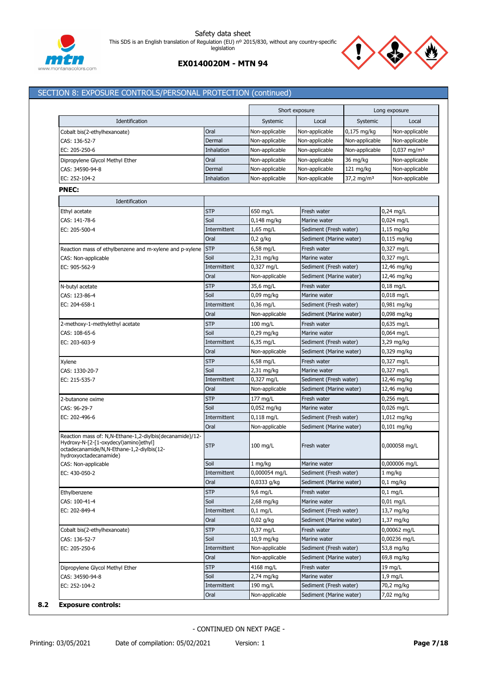



# SECTION 8: EXPOSURE CONTROLS/PERSONAL PROTECTION (continued)

|                                                                                                                                                                          |                      |                                | Short exposure                                    |                        | Long exposure                |
|--------------------------------------------------------------------------------------------------------------------------------------------------------------------------|----------------------|--------------------------------|---------------------------------------------------|------------------------|------------------------------|
| Identification                                                                                                                                                           |                      | Systemic                       | Local                                             | Systemic               | Local                        |
| Cobalt bis(2-ethylhexanoate)                                                                                                                                             | Oral                 | Non-applicable                 | Non-applicable                                    | 0,175 mg/kg            | Non-applicable               |
| CAS: 136-52-7                                                                                                                                                            | Dermal               | Non-applicable                 | Non-applicable                                    | Non-applicable         | Non-applicable               |
| EC: 205-250-6                                                                                                                                                            | Inhalation           | Non-applicable                 | Non-applicable                                    | Non-applicable         | $0,037$ mg/m <sup>3</sup>    |
| Dipropylene Glycol Methyl Ether                                                                                                                                          | Oral                 | Non-applicable                 | Non-applicable                                    | 36 mg/kg               | Non-applicable               |
| CAS: 34590-94-8                                                                                                                                                          | Dermal               | Non-applicable                 | Non-applicable                                    | $121 \text{ mg/kg}$    | Non-applicable               |
| EC: 252-104-2                                                                                                                                                            | Inhalation           | Non-applicable                 | Non-applicable                                    | 37,2 mg/m <sup>3</sup> | Non-applicable               |
| <b>PNEC:</b>                                                                                                                                                             |                      |                                |                                                   |                        |                              |
| Identification                                                                                                                                                           |                      |                                |                                                   |                        |                              |
| Ethyl acetate                                                                                                                                                            | <b>STP</b>           | 650 mg/L                       | Fresh water                                       |                        | $0,24$ mg/L                  |
| CAS: 141-78-6                                                                                                                                                            | Soil                 | $0,148$ mg/kg                  | Marine water                                      |                        | $0,024$ mg/L                 |
| EC: 205-500-4                                                                                                                                                            | Intermittent         | $1,65$ mg/L                    | Sediment (Fresh water)                            |                        | $1,15$ mg/kg                 |
|                                                                                                                                                                          | Oral                 | $0,2$ g/kg                     | Sediment (Marine water)                           |                        | $0,115$ mg/kg                |
|                                                                                                                                                                          | <b>STP</b>           | $6,58$ mg/L                    | Fresh water                                       |                        |                              |
| Reaction mass of ethylbenzene and m-xylene and p-xylene<br>CAS: Non-applicable                                                                                           | Soil                 | $2,31$ mg/kg                   | Marine water                                      |                        | 0,327 mg/L<br>0,327 mg/L     |
| EC: 905-562-9                                                                                                                                                            | Intermittent         | 0,327 mg/L                     | Sediment (Fresh water)                            |                        | 12,46 mg/kg                  |
|                                                                                                                                                                          | Oral                 | Non-applicable                 | Sediment (Marine water)                           |                        | 12,46 mg/kg                  |
|                                                                                                                                                                          | <b>STP</b>           |                                | Fresh water                                       |                        |                              |
| N-butyl acetate<br>CAS: 123-86-4                                                                                                                                         | Soil                 | 35,6 mg/L<br>0,09 mg/kg        | Marine water                                      |                        | $0,18$ mg/L<br>$0,018$ mg/L  |
| EC: 204-658-1                                                                                                                                                            | Intermittent         | $0,36$ mg/L                    | Sediment (Fresh water)                            |                        | 0,981 mg/kg                  |
|                                                                                                                                                                          | Oral                 | Non-applicable                 | Sediment (Marine water)                           |                        | $0,098$ mg/kg                |
|                                                                                                                                                                          |                      |                                |                                                   |                        |                              |
| 2-methoxy-1-methylethyl acetate                                                                                                                                          | <b>STP</b><br>Soil   | $100$ mg/L                     | Fresh water                                       |                        | $0,635$ mg/L                 |
| CAS: 108-65-6                                                                                                                                                            | Intermittent         | $0,29$ mg/kg                   | Marine water                                      |                        | $0,064$ mg/L                 |
| EC: 203-603-9                                                                                                                                                            | Oral                 | $6,35$ mg/L<br>Non-applicable  | Sediment (Fresh water)<br>Sediment (Marine water) |                        | 3,29 mg/kg<br>$0,329$ mg/kg  |
|                                                                                                                                                                          | <b>STP</b>           |                                |                                                   |                        |                              |
| Xylene                                                                                                                                                                   | Soil                 | $6,58$ mg/L                    | Fresh water                                       |                        | 0,327 mg/L                   |
| CAS: 1330-20-7<br>EC: 215-535-7                                                                                                                                          | Intermittent         | $2,31$ mg/kg<br>0,327 mg/L     | Marine water<br>Sediment (Fresh water)            |                        | 0,327 mg/L<br>12,46 mg/kg    |
|                                                                                                                                                                          | Oral                 | Non-applicable                 | Sediment (Marine water)                           |                        | 12,46 mg/kg                  |
|                                                                                                                                                                          |                      |                                |                                                   |                        |                              |
| 2-butanone oxime                                                                                                                                                         | <b>STP</b><br>Soil   | 177 mg/L                       | Fresh water                                       |                        | $0,256$ mg/L                 |
| CAS: 96-29-7                                                                                                                                                             |                      | 0,052 mg/kg                    | Marine water                                      |                        | $0,026$ mg/L                 |
| EC: 202-496-6                                                                                                                                                            | Intermittent<br>Oral | $0,118$ mg/L<br>Non-applicable | Sediment (Fresh water)<br>Sediment (Marine water) |                        | 1,012 mg/kg<br>$0,101$ mg/kg |
| Reaction mass of: N,N-Ethane-1,2-diylbis(decanamide)/12-<br>Hydroxy-N-[2-[1-oxydecyl)amino]ethyl]<br>octadecanamide/N,N-Ethane-1,2-diylbis(12-<br>hydroxyoctadecanamide) | <b>STP</b>           | $100$ mg/L                     | Fresh water                                       |                        | 0,000058 mg/L                |
| CAS: Non-applicable                                                                                                                                                      | Soil                 | 1 mg/kg                        | Marine water                                      |                        | 0,000006 mg/L                |
| EC: 430-050-2                                                                                                                                                            | Intermittent         | 0,000054 mg/L                  | Sediment (Fresh water)                            |                        | 1 mg/kg                      |
|                                                                                                                                                                          | Oral                 | 0,0333 g/kg                    | Sediment (Marine water)                           |                        | $0,1$ mg/kg                  |
| Ethylbenzene                                                                                                                                                             | <b>STP</b>           | $9.6$ mg/L                     | Fresh water                                       |                        | $0,1$ mg/L                   |
| CAS: 100-41-4                                                                                                                                                            | Soil                 | 2,68 mg/kg                     | Marine water                                      |                        | $0,01$ mg/L                  |
| EC: 202-849-4                                                                                                                                                            | Intermittent         | $0,1$ mg/L                     | Sediment (Fresh water)                            |                        | 13,7 mg/kg                   |
|                                                                                                                                                                          | Oral                 | $0,02$ g/kg                    | Sediment (Marine water)                           |                        | $1,37$ mg/kg                 |
| Cobalt bis(2-ethylhexanoate)                                                                                                                                             | <b>STP</b>           | $0,37$ mg/L                    | Fresh water                                       |                        | 0,00062 mg/L                 |
| CAS: 136-52-7                                                                                                                                                            | Soil                 | $10,9$ mg/kg                   | Marine water                                      |                        | 0,00236 mg/L                 |
| EC: 205-250-6                                                                                                                                                            | Intermittent         | Non-applicable                 | Sediment (Fresh water)                            |                        | 53,8 mg/kg                   |
|                                                                                                                                                                          | Oral                 | Non-applicable                 | Sediment (Marine water)                           |                        | 69,8 mg/kg                   |
| Dipropylene Glycol Methyl Ether                                                                                                                                          | <b>STP</b>           | 4168 mg/L                      | Fresh water                                       |                        | 19 mg/L                      |
| CAS: 34590-94-8                                                                                                                                                          | Soil                 | 2,74 mg/kg                     | Marine water                                      |                        | $1,9$ mg/L                   |
|                                                                                                                                                                          |                      |                                |                                                   |                        |                              |
| EC: 252-104-2                                                                                                                                                            | Intermittent         | 190 mg/L                       | Sediment (Fresh water)                            |                        | 70,2 mg/kg                   |

**8.2 Exposure controls:**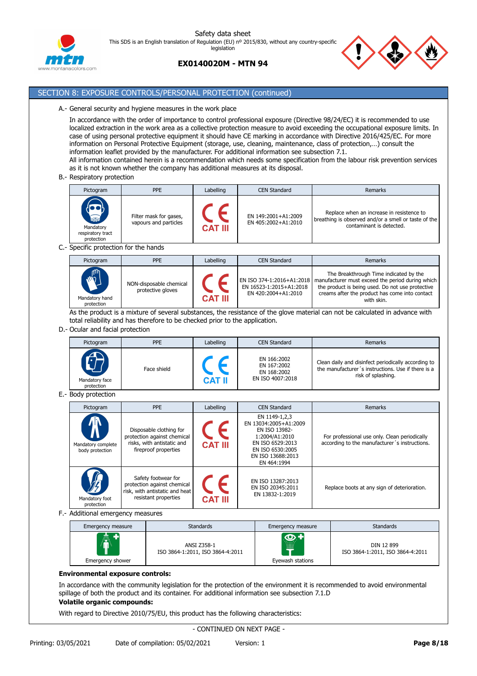



# **EX0140020M - MTN 94**

# SECTION 8: EXPOSURE CONTROLS/PERSONAL PROTECTION (continued)

### A.- General security and hygiene measures in the work place

In accordance with the order of importance to control professional exposure (Directive 98/24/EC) it is recommended to use localized extraction in the work area as a collective protection measure to avoid exceeding the occupational exposure limits. In case of using personal protective equipment it should have CE marking in accordance with Directive 2016/425/EC. For more information on Personal Protective Equipment (storage, use, cleaning, maintenance, class of protection,…) consult the information leaflet provided by the manufacturer. For additional information see subsection 7.1. All information contained herein is a recommendation which needs some specification from the labour risk prevention services

as it is not known whether the company has additional measures at its disposal.

B.- Respiratory protection

| Pictogram                                                             | <b>PPE</b>                                      | Labelling      | <b>CEN Standard</b>                        | Remarks                                                                                                                       |
|-----------------------------------------------------------------------|-------------------------------------------------|----------------|--------------------------------------------|-------------------------------------------------------------------------------------------------------------------------------|
| $\sum_{n=0}^{\infty}$<br>Mandatory<br>respiratory tract<br>protection | Filter mask for gases,<br>vapours and particles | <b>CAT III</b> | EN 149:2001+A1:2009<br>EN 405:2002+A1:2010 | Replace when an increase in resistence to<br>breathing is observed and/or a smell or taste of the<br>contaminant is detected. |

C.- Specific protection for the hands

| Pictogram                                  | <b>PPE</b>                                   | Labelling      | CEN Standard                                                                | Remarks                                                                                                                                                                                                        |
|--------------------------------------------|----------------------------------------------|----------------|-----------------------------------------------------------------------------|----------------------------------------------------------------------------------------------------------------------------------------------------------------------------------------------------------------|
| <b>AND</b><br>Mandatory hand<br>protection | NON-disposable chemical<br>protective gloves | <b>CAT III</b> | EN ISO 374-1:2016+A1:2018<br>EN 16523-1:2015+A1:2018<br>EN 420:2004+A1:2010 | The Breakthrough Time indicated by the<br>manufacturer must exceed the period during which<br>the product is being used. Do not use protective<br>creams after the product has come into contact<br>with skin. |

As the product is a mixture of several substances, the resistance of the glove material can not be calculated in advance with total reliability and has therefore to be checked prior to the application.

### D.- Ocular and facial protection

| Pictogram                    | <b>PPE</b>  | Labelling     | <b>CEN Standard</b>                                           | Remarks                                                                                                                         |
|------------------------------|-------------|---------------|---------------------------------------------------------------|---------------------------------------------------------------------------------------------------------------------------------|
| Mandatory face<br>protection | Face shield | <b>CAT II</b> | EN 166:2002<br>EN 167:2002<br>EN 168:2002<br>EN ISO 4007:2018 | Clean daily and disinfect periodically according to<br>the manufacturer's instructions. Use if there is a<br>risk of splashing. |

E.- Body protection

| Pictogram                                  | <b>PPE</b>                                                                                                   | Labelling      | <b>CEN Standard</b>                                                                                                                                   | Remarks                                                                                        |
|--------------------------------------------|--------------------------------------------------------------------------------------------------------------|----------------|-------------------------------------------------------------------------------------------------------------------------------------------------------|------------------------------------------------------------------------------------------------|
| W<br>Mandatory complete<br>body protection | Disposable clothing for<br>protection against chemical<br>risks, with antistatic and<br>fireproof properties | <b>CAT III</b> | EN 1149-1,2,3<br>EN 13034:2005+A1:2009<br>EN ISO 13982-<br>1:2004/A1:2010<br>EN ISO 6529:2013<br>EN ISO 6530:2005<br>EN ISO 13688:2013<br>EN 464:1994 | For professional use only. Clean periodically<br>according to the manufacturer's instructions. |
| $\sqrt{2}$<br>Mandatory foot<br>protection | Safety footwear for<br>protection against chemical<br>risk, with antistatic and heat<br>resistant properties | <b>CAT III</b> | EN ISO 13287:2013<br>EN ISO 20345:2011<br>EN 13832-1:2019                                                                                             | Replace boots at any sign of deterioration.                                                    |

F.- Additional emergency measures

| Emergency measure                      | <b>Standards</b>                                | Emergency measure                        | <b>Standards</b>                               |
|----------------------------------------|-------------------------------------------------|------------------------------------------|------------------------------------------------|
| $\hat{\mathbf{r}}$<br>Emergency shower | ANSI Z358-1<br>ISO 3864-1:2011, ISO 3864-4:2011 | $\bullet$<br><br>THE<br>Eyewash stations | DIN 12 899<br>ISO 3864-1:2011, ISO 3864-4:2011 |

### **Environmental exposure controls:**

In accordance with the community legislation for the protection of the environment it is recommended to avoid environmental spillage of both the product and its container. For additional information see subsection 7.1.D

# **Volatile organic compounds:**

With regard to Directive 2010/75/EU, this product has the following characteristics: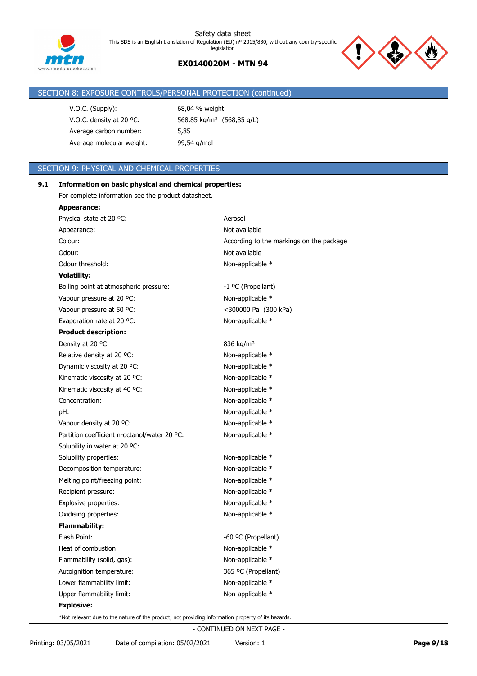

For complete information see the product datasheet.

# **EX0140020M - MTN 94**

# SECTION 8: EXPOSURE CONTROLS/PERSONAL PROTECTION (continued) V.O.C. (Supply): 68,04 % weight V.O.C. density at 20 ºC: 568,85 kg/m³ (568,85 g/L) Average carbon number: 5,85 Average molecular weight: 99,54 g/mol SECTION 9: PHYSICAL AND CHEMICAL PROPERTIES **9.1 Information on basic physical and chemical properties:**

| <b>Appearance:</b>                                                                                 |                                          |
|----------------------------------------------------------------------------------------------------|------------------------------------------|
| Physical state at 20 °C:                                                                           | Aerosol                                  |
| Appearance:                                                                                        | Not available                            |
| Colour:                                                                                            | According to the markings on the package |
| Odour:                                                                                             | Not available                            |
| Odour threshold:                                                                                   | Non-applicable *                         |
| <b>Volatility:</b>                                                                                 |                                          |
| Boiling point at atmospheric pressure:                                                             | -1 °C (Propellant)                       |
| Vapour pressure at 20 °C:                                                                          | Non-applicable *                         |
| Vapour pressure at 50 °C:                                                                          | <300000 Pa (300 kPa)                     |
| Evaporation rate at 20 °C:                                                                         | Non-applicable *                         |
| <b>Product description:</b>                                                                        |                                          |
| Density at 20 °C:                                                                                  | 836 kg/m <sup>3</sup>                    |
| Relative density at 20 °C:                                                                         | Non-applicable *                         |
| Dynamic viscosity at 20 °C:                                                                        | Non-applicable *                         |
| Kinematic viscosity at 20 °C:                                                                      | Non-applicable *                         |
| Kinematic viscosity at 40 °C:                                                                      | Non-applicable *                         |
| Concentration:                                                                                     | Non-applicable *                         |
| pH:                                                                                                | Non-applicable *                         |
| Vapour density at 20 °C:                                                                           | Non-applicable *                         |
| Partition coefficient n-octanol/water 20 °C:                                                       | Non-applicable *                         |
| Solubility in water at 20 °C:                                                                      |                                          |
| Solubility properties:                                                                             | Non-applicable *                         |
| Decomposition temperature:                                                                         | Non-applicable *                         |
| Melting point/freezing point:                                                                      | Non-applicable *                         |
| Recipient pressure:                                                                                | Non-applicable *                         |
| Explosive properties:                                                                              | Non-applicable *                         |
| Oxidising properties:                                                                              | Non-applicable *                         |
| <b>Flammability:</b>                                                                               |                                          |
| Flash Point:                                                                                       | -60 °C (Propellant)                      |
| Heat of combustion:                                                                                | Non-applicable *                         |
| Flammability (solid, gas):                                                                         | Non-applicable *                         |
| Autoignition temperature:                                                                          | 365 °C (Propellant)                      |
| Lower flammability limit:                                                                          | Non-applicable *                         |
| Upper flammability limit:                                                                          | Non-applicable *                         |
| <b>Explosive:</b>                                                                                  |                                          |
| *Not relevant due to the nature of the product, not providing information property of its hazards. |                                          |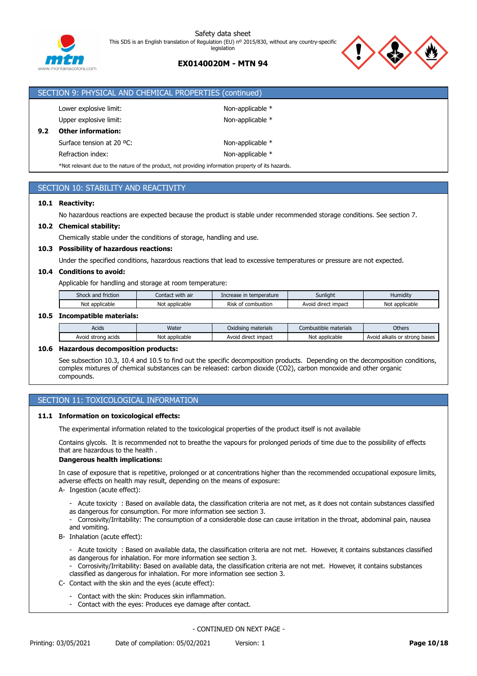

# **EX0140020M - MTN 94**



|                                                                                                    | SECTION 9: PHYSICAL AND CHEMICAL PROPERTIES (continued) |                  |  |  |  |  |
|----------------------------------------------------------------------------------------------------|---------------------------------------------------------|------------------|--|--|--|--|
|                                                                                                    | Lower explosive limit:                                  | Non-applicable * |  |  |  |  |
|                                                                                                    | Upper explosive limit:                                  | Non-applicable * |  |  |  |  |
| 9.2                                                                                                | <b>Other information:</b>                               |                  |  |  |  |  |
|                                                                                                    | Surface tension at 20 °C:                               | Non-applicable * |  |  |  |  |
|                                                                                                    | Refraction index:                                       | Non-applicable * |  |  |  |  |
| *Not relevant due to the nature of the product, not providing information property of its hazards. |                                                         |                  |  |  |  |  |

# SECTION 10: STABILITY AND REACTIVITY

### **10.1 Reactivity:**

No hazardous reactions are expected because the product is stable under recommended storage conditions. See section 7.

### **10.2 Chemical stability:**

Chemically stable under the conditions of storage, handling and use.

### **10.3 Possibility of hazardous reactions:**

Under the specified conditions, hazardous reactions that lead to excessive temperatures or pressure are not expected.

### **10.4 Conditions to avoid:**

Applicable for handling and storage at room temperature:

| Shock and friction  | Contact with air | e in temperature<br>Increase          | Sunlight               | Humidity       |
|---------------------|------------------|---------------------------------------|------------------------|----------------|
| Not<br>: applicable | Not applicable   | Risk<br>combustion <sup>.</sup><br>ot | direct impact<br>Avoid | Not applicable |

### **10.5 Incompatible materials:**

| Acids                   | Water                      | <b>materials</b><br>Oxidising r | nbustible materials<br>LOP     | Others                                               |
|-------------------------|----------------------------|---------------------------------|--------------------------------|------------------------------------------------------|
| acids<br>rona:<br>Avoid | applicable<br>Not<br>` аь. | * impact<br>Avoid<br>direct     | <sup>-</sup> applicable<br>Not | bases<br>alkalis<br>Avoi<br>or chrong<br>stronu<br>v |

### **10.6 Hazardous decomposition products:**

See subsection 10.3, 10.4 and 10.5 to find out the specific decomposition products. Depending on the decomposition conditions, complex mixtures of chemical substances can be released: carbon dioxide (CO2), carbon monoxide and other organic compounds.

### SECTION 11: TOXICOLOGICAL INFORMATION

### **11.1 Information on toxicological effects:**

The experimental information related to the toxicological properties of the product itself is not available

Contains glycols. It is recommended not to breathe the vapours for prolonged periods of time due to the possibility of effects that are hazardous to the health .

### **Dangerous health implications:**

In case of exposure that is repetitive, prolonged or at concentrations higher than the recommended occupational exposure limits, adverse effects on health may result, depending on the means of exposure:

- A- Ingestion (acute effect):
	- Acute toxicity : Based on available data, the classification criteria are not met, as it does not contain substances classified as dangerous for consumption. For more information see section 3.
	-
	- Corrosivity/Irritability: The consumption of a considerable dose can cause irritation in the throat, abdominal pain, nausea and vomiting.
- B- Inhalation (acute effect):
	- Acute toxicity : Based on available data, the classification criteria are not met. However, it contains substances classified as dangerous for inhalation. For more information see section 3.
	- Corrosivity/Irritability: Based on available data, the classification criteria are not met. However, it contains substances classified as dangerous for inhalation. For more information see section 3.
- C- Contact with the skin and the eyes (acute effect):
	- Contact with the skin: Produces skin inflammation.
	- Contact with the eyes: Produces eye damage after contact.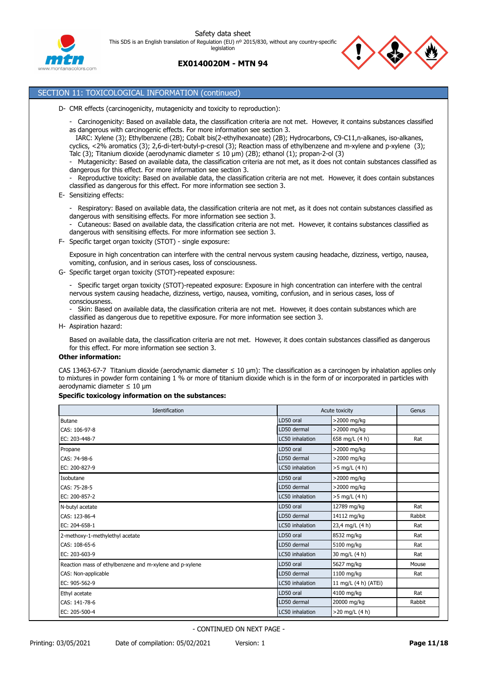





# SECTION 11: TOXICOLOGICAL INFORMATION (continued)

- D- CMR effects (carcinogenicity, mutagenicity and toxicity to reproduction):
	- Carcinogenicity: Based on available data, the classification criteria are not met. However, it contains substances classified as dangerous with carcinogenic effects. For more information see section 3.

IARC: Xylene (3); Ethylbenzene (2B); Cobalt bis(2-ethylhexanoate) (2B); Hydrocarbons, C9-C11,n-alkanes, iso-alkanes,

- cyclics, <2% aromatics (3); 2,6-di-tert-butyl-p-cresol (3); Reaction mass of ethylbenzene and m-xylene and p-xylene (3); Talc (3); Titanium dioxide (aerodynamic diameter  $\leq 10$  µm) (2B); ethanol (1); propan-2-ol (3)
- Mutagenicity: Based on available data, the classification criteria are not met, as it does not contain substances classified as dangerous for this effect. For more information see section 3.
- Reproductive toxicity: Based on available data, the classification criteria are not met. However, it does contain substances classified as dangerous for this effect. For more information see section 3.
- E- Sensitizing effects:
	- Respiratory: Based on available data, the classification criteria are not met, as it does not contain substances classified as dangerous with sensitising effects. For more information see section 3.

- Cutaneous: Based on available data, the classification criteria are not met. However, it contains substances classified as dangerous with sensitising effects. For more information see section 3.

F- Specific target organ toxicity (STOT) - single exposure:

Exposure in high concentration can interfere with the central nervous system causing headache, dizziness, vertigo, nausea, vomiting, confusion, and in serious cases, loss of consciousness.

G- Specific target organ toxicity (STOT)-repeated exposure:

- Specific target organ toxicity (STOT)-repeated exposure: Exposure in high concentration can interfere with the central nervous system causing headache, dizziness, vertigo, nausea, vomiting, confusion, and in serious cases, loss of consciousness.

- Skin: Based on available data, the classification criteria are not met. However, it does contain substances which are classified as dangerous due to repetitive exposure. For more information see section 3.

H- Aspiration hazard:

Based on available data, the classification criteria are not met. However, it does contain substances classified as dangerous for this effect. For more information see section 3.

### **Other information:**

CAS 13463-67-7 Titanium dioxide (aerodynamic diameter ≤ 10 μm): The classification as a carcinogen by inhalation applies only to mixtures in powder form containing 1 % or more of titanium dioxide which is in the form of or incorporated in particles with aerodynamic diameter ≤ 10 μm

### **Specific toxicology information on the substances:**

| Identification                                          |                 | Acute toxicity       | Genus  |
|---------------------------------------------------------|-----------------|----------------------|--------|
| <b>Butane</b>                                           | LD50 oral       | >2000 mg/kg          |        |
| CAS: 106-97-8                                           | LD50 dermal     | >2000 mg/kg          |        |
| EC: 203-448-7                                           | LC50 inhalation | 658 mg/L (4 h)       | Rat    |
| Propane                                                 | LD50 oral       | >2000 mg/kg          |        |
| CAS: 74-98-6                                            | LD50 dermal     | >2000 mg/kg          |        |
| EC: 200-827-9                                           | LC50 inhalation | >5 mg/L (4 h)        |        |
| Isobutane                                               | LD50 oral       | >2000 mg/kg          |        |
| CAS: 75-28-5                                            | LD50 dermal     | >2000 mg/kg          |        |
| EC: 200-857-2                                           | LC50 inhalation | >5 mg/L (4 h)        |        |
| N-butyl acetate                                         | LD50 oral       | 12789 mg/kg          | Rat    |
| CAS: 123-86-4                                           | LD50 dermal     | 14112 mg/kg          | Rabbit |
| EC: 204-658-1                                           | LC50 inhalation | 23,4 mg/L (4 h)      | Rat    |
| 2-methoxy-1-methylethyl acetate                         | LD50 oral       | 8532 mg/kg           | Rat    |
| CAS: 108-65-6                                           | LD50 dermal     | 5100 mg/kg           | Rat    |
| EC: 203-603-9                                           | LC50 inhalation | 30 mg/L (4 h)        | Rat    |
| Reaction mass of ethylbenzene and m-xylene and p-xylene | LD50 oral       | 5627 mg/kg           | Mouse  |
| CAS: Non-applicable                                     | LD50 dermal     | 1100 mg/kg           | Rat    |
| EC: 905-562-9                                           | LC50 inhalation | 11 mg/L (4 h) (ATEi) |        |
| Ethyl acetate                                           | LD50 oral       | 4100 mg/kg           | Rat    |
| CAS: 141-78-6                                           | LD50 dermal     | 20000 mg/kg          | Rabbit |
| EC: 205-500-4                                           | LC50 inhalation | $>20$ mg/L (4 h)     |        |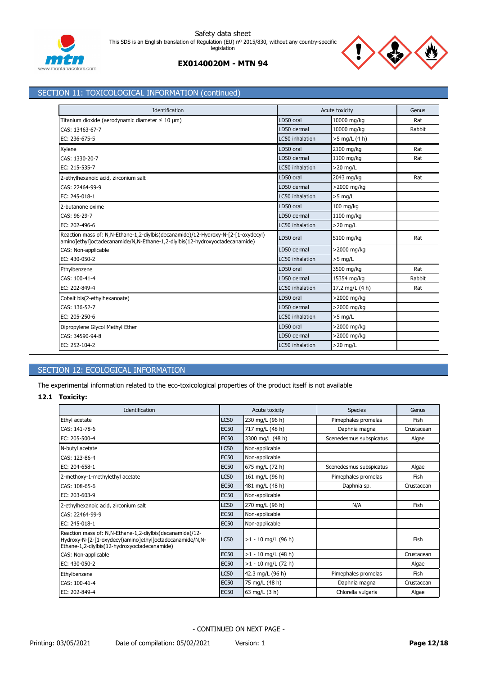



# SECTION 11: TOXICOLOGICAL INFORMATION (continued)

| Identification                                                                                                                                                   |                 | Acute toxicity  | Genus  |
|------------------------------------------------------------------------------------------------------------------------------------------------------------------|-----------------|-----------------|--------|
| Titanium dioxide (aerodynamic diameter $\leq 10 \text{ }\mu\text{m}$ )                                                                                           | LD50 oral       | 10000 mg/kg     | Rat    |
| CAS: 13463-67-7                                                                                                                                                  | LD50 dermal     | 10000 mg/kg     | Rabbit |
| EC: 236-675-5                                                                                                                                                    | LC50 inhalation | $>5$ mg/L (4 h) |        |
| Xylene                                                                                                                                                           | LD50 oral       | 2100 mg/kg      | Rat    |
| CAS: 1330-20-7                                                                                                                                                   | LD50 dermal     | 1100 mg/kg      | Rat    |
| EC: 215-535-7                                                                                                                                                    | LC50 inhalation | $>20$ mg/L      |        |
| 2-ethylhexanoic acid, zirconium salt                                                                                                                             | LD50 oral       | 2043 mg/kg      | Rat    |
| CAS: 22464-99-9                                                                                                                                                  | LD50 dermal     | >2000 mg/kg     |        |
| EC: 245-018-1                                                                                                                                                    | LC50 inhalation | $>5$ mg/L       |        |
| 2-butanone oxime                                                                                                                                                 | LD50 oral       | 100 mg/kg       |        |
| CAS: 96-29-7                                                                                                                                                     | LD50 dermal     | 1100 mg/kg      |        |
| EC: 202-496-6                                                                                                                                                    | LC50 inhalation | $>20$ mg/L      |        |
| Reaction mass of: N,N-Ethane-1,2-diylbis(decanamide)/12-Hydroxy-N-[2-[1-oxydecyl)<br>amino]ethyl]octadecanamide/N,N-Ethane-1,2-diylbis(12-hydroxyoctadecanamide) | LD50 oral       | 5100 mg/kg      | Rat    |
| CAS: Non-applicable                                                                                                                                              | LD50 dermal     | >2000 mg/kg     |        |
| EC: 430-050-2                                                                                                                                                    | LC50 inhalation | $>5$ mg/L       |        |
| Ethylbenzene                                                                                                                                                     | LD50 oral       | 3500 mg/kg      | Rat    |
| CAS: 100-41-4                                                                                                                                                    | LD50 dermal     | 15354 mg/kg     | Rabbit |
| EC: 202-849-4                                                                                                                                                    | LC50 inhalation | 17,2 mg/L (4 h) | Rat    |
| Cobalt bis(2-ethylhexanoate)                                                                                                                                     | LD50 oral       | >2000 mg/kg     |        |
| CAS: 136-52-7                                                                                                                                                    | LD50 dermal     | >2000 mg/kg     |        |
| EC: 205-250-6                                                                                                                                                    | LC50 inhalation | $>5$ mg/L       |        |
| Dipropylene Glycol Methyl Ether                                                                                                                                  | LD50 oral       | >2000 mg/kg     |        |
| CAS: 34590-94-8                                                                                                                                                  | LD50 dermal     | >2000 mg/kg     |        |
| EC: 252-104-2                                                                                                                                                    | LC50 inhalation | $>20$ mg/L      |        |

# SECTION 12: ECOLOGICAL INFORMATION

The experimental information related to the eco-toxicological properties of the product itself is not available

# **12.1 Toxicity:**

| Identification                                                                                                                                                       |             | Acute toxicity        | <b>Species</b>          | Genus      |
|----------------------------------------------------------------------------------------------------------------------------------------------------------------------|-------------|-----------------------|-------------------------|------------|
| Ethyl acetate                                                                                                                                                        | <b>LC50</b> | 230 mg/L (96 h)       | Pimephales promelas     | Fish       |
| CAS: 141-78-6                                                                                                                                                        | <b>EC50</b> | 717 mg/L (48 h)       | Daphnia magna           | Crustacean |
| EC: 205-500-4                                                                                                                                                        | <b>EC50</b> | 3300 mg/L (48 h)      | Scenedesmus subspicatus | Algae      |
| N-butyl acetate                                                                                                                                                      | <b>LC50</b> | Non-applicable        |                         |            |
| CAS: 123-86-4                                                                                                                                                        | <b>EC50</b> | Non-applicable        |                         |            |
| EC: 204-658-1                                                                                                                                                        | <b>EC50</b> | 675 mg/L (72 h)       | Scenedesmus subspicatus | Algae      |
| 2-methoxy-1-methylethyl acetate                                                                                                                                      | <b>LC50</b> | 161 mg/L (96 h)       | Pimephales promelas     | Fish       |
| CAS: 108-65-6                                                                                                                                                        | <b>EC50</b> | 481 mg/L (48 h)       | Daphnia sp.             | Crustacean |
| EC: 203-603-9                                                                                                                                                        | <b>EC50</b> | Non-applicable        |                         |            |
| 2-ethylhexanoic acid, zirconium salt                                                                                                                                 | <b>LC50</b> | 270 mg/L (96 h)       | N/A                     | Fish       |
| CAS: 22464-99-9                                                                                                                                                      | <b>EC50</b> | Non-applicable        |                         |            |
| EC: 245-018-1                                                                                                                                                        | <b>EC50</b> | Non-applicable        |                         |            |
| Reaction mass of: N,N-Ethane-1,2-diylbis(decanamide)/12-<br>Hydroxy-N-[2-[1-oxydecyl)amino]ethyl]octadecanamide/N,N-<br>Ethane-1,2-diylbis(12-hydroxyoctadecanamide) | <b>LC50</b> | $>1 - 10$ mg/L (96 h) |                         | Fish       |
| CAS: Non-applicable                                                                                                                                                  | <b>EC50</b> | $>1 - 10$ mg/L (48 h) |                         | Crustacean |
| EC: 430-050-2                                                                                                                                                        | <b>EC50</b> | $>1 - 10$ mg/L (72 h) |                         | Algae      |
| Ethylbenzene                                                                                                                                                         | <b>LC50</b> | 42.3 mg/L (96 h)      | Pimephales promelas     | Fish       |
| CAS: 100-41-4                                                                                                                                                        | <b>EC50</b> | 75 mg/L (48 h)        | Daphnia magna           | Crustacean |
| EC: 202-849-4                                                                                                                                                        | <b>EC50</b> | 63 mg/L (3 h)         | Chlorella vulgaris      | Algae      |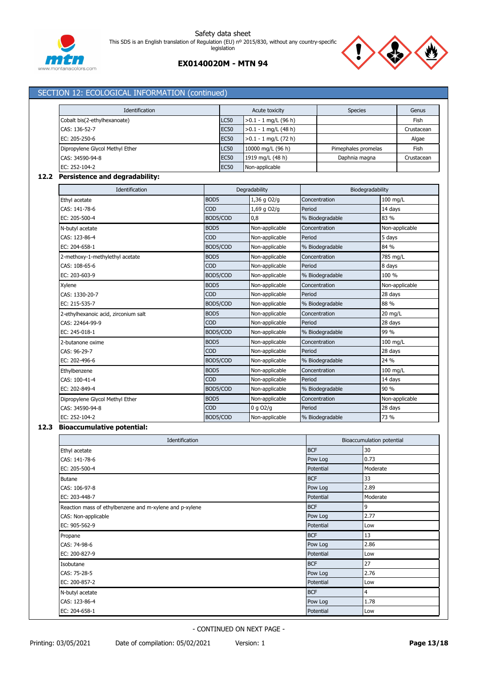



| Cobalt bis(2-ethylhexanoate)<br>CAS: 136-52-7 |                  |             | Acute toxicity         |        | <b>Species</b>      |          | Genus          |
|-----------------------------------------------|------------------|-------------|------------------------|--------|---------------------|----------|----------------|
|                                               |                  | <b>LC50</b> | $>0.1 - 1$ mg/L (96 h) |        |                     |          | Fish           |
|                                               | <b>EC50</b>      |             | $>0.1 - 1$ mg/L (48 h) |        |                     |          | Crustacean     |
| EC: 205-250-6                                 |                  | <b>EC50</b> | $>0.1 - 1$ mg/L (72 h) |        |                     |          | Algae          |
| Dipropylene Glycol Methyl Ether               |                  | <b>LC50</b> | 10000 mg/L (96 h)      |        | Pimephales promelas |          | Fish           |
| CAS: 34590-94-8                               |                  | <b>EC50</b> | 1919 mg/L (48 h)       |        | Daphnia magna       |          | Crustacean     |
| EC: 252-104-2                                 |                  | <b>EC50</b> | Non-applicable         |        |                     |          |                |
| Persistence and degradability:                |                  |             |                        |        |                     |          |                |
| Identification                                |                  |             | Degradability          |        | Biodegradability    |          |                |
| Ethyl acetate                                 | BOD5             |             | 1,36 g O2/g            |        | Concentration       | 100 mg/L |                |
| CAS: 141-78-6                                 | COD              |             | 1,69 g O2/g            | Period |                     | 14 days  |                |
| EC: 205-500-4                                 | BOD5/COD         |             | 0,8                    |        | % Biodegradable     | 83 %     |                |
| N-butyl acetate                               | BOD5             |             | Non-applicable         |        | Concentration       |          | Non-applicable |
| CAS: 123-86-4                                 | COD              |             | Non-applicable         | Period |                     | 5 days   |                |
| EC: 204-658-1                                 | BOD5/COD         |             | Non-applicable         |        | % Biodegradable     | 84 %     |                |
| 2-methoxy-1-methylethyl acetate               | BOD <sub>5</sub> |             | Non-applicable         |        | Concentration       | 785 mg/L |                |
| CAS: 108-65-6                                 | COD              |             | Non-applicable         | Period |                     | 8 days   |                |
| EC: 203-603-9                                 | BOD5/COD         |             | Non-applicable         |        | % Biodegradable     | 100 %    |                |
| Xylene                                        | BOD <sub>5</sub> |             | Non-applicable         |        | Concentration       |          | Non-applicable |
| CAS: 1330-20-7                                | COD              |             | Non-applicable         | Period |                     | 28 days  |                |
| EC: 215-535-7                                 | BOD5/COD         |             | Non-applicable         |        | % Biodegradable     | 88 %     |                |
| 2-ethylhexanoic acid, zirconium salt          | BOD <sub>5</sub> |             | Non-applicable         |        | Concentration       | 20 mg/L  |                |
| CAS: 22464-99-9                               | COD              |             | Non-applicable         | Period |                     | 28 days  |                |
| EC: 245-018-1                                 | BOD5/COD         |             | Non-applicable         |        | % Biodegradable     | 99 %     |                |
| 2-butanone oxime                              | BOD <sub>5</sub> |             | Non-applicable         |        | Concentration       | 100 mg/L |                |
| CAS: 96-29-7                                  | COD              |             | Non-applicable         | Period |                     | 28 days  |                |
| EC: 202-496-6                                 | BOD5/COD         |             | Non-applicable         |        | % Biodegradable     | 24 %     |                |
| Ethylbenzene                                  | BOD <sub>5</sub> |             | Non-applicable         |        | Concentration       | 100 mg/L |                |
| CAS: 100-41-4                                 | COD              |             | Non-applicable         | Period |                     | 14 days  |                |
| EC: 202-849-4                                 | BOD5/COD         |             | Non-applicable         |        | % Biodegradable     | 90 %     |                |
| Dipropylene Glycol Methyl Ether               | BOD <sub>5</sub> |             | Non-applicable         |        | Concentration       |          | Non-applicable |
| CAS: 34590-94-8                               | COD              |             | 0 g O2/g               | Period |                     | 28 days  |                |

# **12.3 Bioaccumulative potential:**

| Identification                                          |            | Bioaccumulation potential |  |  |
|---------------------------------------------------------|------------|---------------------------|--|--|
| Ethyl acetate                                           | <b>BCF</b> | 30                        |  |  |
| CAS: 141-78-6                                           | Pow Log    | 0.73                      |  |  |
| EC: 205-500-4                                           | Potential  | Moderate                  |  |  |
| <b>Butane</b>                                           | <b>BCF</b> | 33                        |  |  |
| CAS: 106-97-8                                           | Pow Log    | 2.89                      |  |  |
| EC: 203-448-7                                           | Potential  | Moderate                  |  |  |
| Reaction mass of ethylbenzene and m-xylene and p-xylene | <b>BCF</b> | 9                         |  |  |
| CAS: Non-applicable                                     | Pow Log    | 2.77                      |  |  |
| EC: 905-562-9                                           | Potential  | Low                       |  |  |
| Propane                                                 | <b>BCF</b> | 13                        |  |  |
| CAS: 74-98-6                                            | Pow Log    | 2.86                      |  |  |
| EC: 200-827-9                                           | Potential  | Low                       |  |  |
| Isobutane                                               | <b>BCF</b> | 27                        |  |  |
| CAS: 75-28-5                                            | Pow Log    | 2.76                      |  |  |
| EC: 200-857-2                                           | Potential  | Low                       |  |  |
| N-butyl acetate                                         | <b>BCF</b> | 4                         |  |  |
| CAS: 123-86-4                                           | Pow Log    | 1.78                      |  |  |
| EC: 204-658-1                                           | Potential  | Low                       |  |  |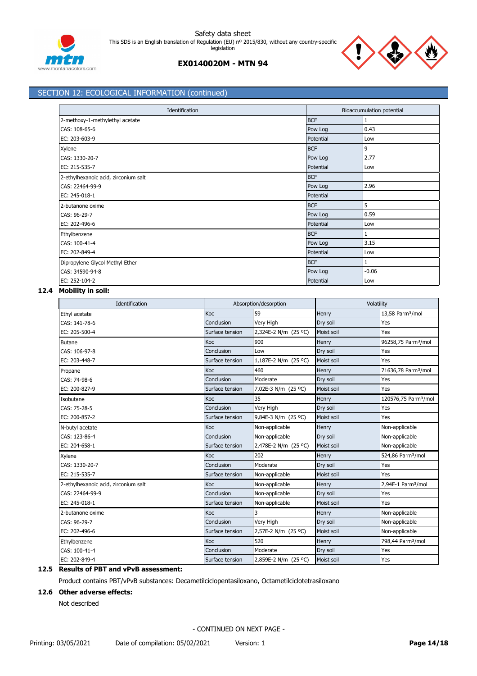



|                                      | Identification  |                       |            |            | Bioaccumulation potential        |  |
|--------------------------------------|-----------------|-----------------------|------------|------------|----------------------------------|--|
| 2-methoxy-1-methylethyl acetate      |                 |                       | <b>BCF</b> |            |                                  |  |
| CAS: 108-65-6                        |                 | Pow Log               |            | 0.43       |                                  |  |
| EC: 203-603-9                        |                 |                       | Potential  | Low        |                                  |  |
| Xylene                               |                 |                       | <b>BCF</b> | 9          |                                  |  |
| CAS: 1330-20-7                       |                 |                       | Pow Log    | 2.77       |                                  |  |
| EC: 215-535-7                        |                 |                       | Potential  | Low        |                                  |  |
| 2-ethylhexanoic acid, zirconium salt |                 |                       | <b>BCF</b> |            |                                  |  |
| CAS: 22464-99-9                      |                 |                       | Pow Log    | 2.96       |                                  |  |
| EC: 245-018-1                        |                 |                       | Potential  |            |                                  |  |
| 2-butanone oxime                     |                 |                       | <b>BCF</b> | 5          |                                  |  |
| CAS: 96-29-7                         |                 |                       | Pow Log    | 0.59       |                                  |  |
| EC: 202-496-6                        |                 |                       | Potential  | Low        |                                  |  |
| Ethylbenzene                         |                 |                       | <b>BCF</b> | 1          |                                  |  |
| CAS: 100-41-4                        |                 |                       | Pow Log    | 3.15       |                                  |  |
| EC: 202-849-4                        |                 |                       | Potential  | Low        |                                  |  |
| Dipropylene Glycol Methyl Ether      |                 |                       | <b>BCF</b> | 1          |                                  |  |
| CAS: 34590-94-8                      |                 |                       | Pow Log    | $-0.06$    |                                  |  |
| EC: 252-104-2                        |                 |                       | Potential  | Low        |                                  |  |
| 12.4 Mobility in soil:               |                 |                       |            |            |                                  |  |
| Identification                       |                 | Absorption/desorption |            | Volatility |                                  |  |
| Ethyl acetate                        | Koc             | 59                    | Henry      |            | 13,58 Pa·m <sup>3</sup> /mol     |  |
| CAS: 141-78-6                        | Conclusion      | Very High             | Dry soil   |            | Yes                              |  |
| EC: 205-500-4                        | Surface tension | 2,324E-2 N/m (25 °C)  | Moist soil |            | Yes                              |  |
| <b>Butane</b>                        | Koc             | 900                   | Henry      |            | 96258,75 Pa·m <sup>3</sup> /mol  |  |
| CAS: 106-97-8                        | Conclusion      | Low                   | Dry soil   |            | Yes                              |  |
| EC: 203-448-7                        | Surface tension | 1,187E-2 N/m (25 °C)  | Moist soil |            | Yes                              |  |
| Propane                              | Koc             | 460                   | Henry      |            | 71636,78 Pa·m <sup>3</sup> /mol  |  |
| CAS: 74-98-6                         | Conclusion      | Moderate              | Dry soil   |            | Yes                              |  |
| EC: 200-827-9                        | Surface tension | 7,02E-3 N/m (25 °C)   | Moist soil |            | Yes                              |  |
| Isobutane                            | Koc             | 35                    | Henry      |            | 120576,75 Pa·m <sup>3</sup> /mol |  |
| CAS: 75-28-5                         | Conclusion      | Very High             | Dry soil   |            | Yes                              |  |
| EC: 200-857-2                        | Surface tension | 9,84E-3 N/m (25 °C)   | Moist soil |            | Yes                              |  |
| N-butyl acetate                      | Koc             | Non-applicable        | Henry      |            | Non-applicable                   |  |
| CAS: 123-86-4                        | Conclusion      | Non-applicable        | Dry soil   |            | Non-applicable                   |  |
| EC: 204-658-1                        | Surface tension | 2,478E-2 N/m (25 °C)  | Moist soil |            | Non-applicable                   |  |
| Xylene                               | Koc             | 202                   | Henry      |            | 524,86 Pa·m <sup>3</sup> /mol    |  |
| CAS: 1330-20-7                       | Conclusion      | Moderate              | Dry soil   |            | Yes                              |  |
| EC: 215-535-7                        | Surface tension | Non-applicable        | Moist soil |            | Yes                              |  |
| 2-ethylhexanoic acid, zirconium salt | Кос             | Non-applicable        | Henry      |            | 2,94E-1 Pa·m <sup>3</sup> /mol   |  |
| CAS: 22464-99-9                      | Conclusion      | Non-applicable        | Dry soil   |            | Yes                              |  |
| EC: 245-018-1                        | Surface tension | Non-applicable        | Moist soil |            | Yes                              |  |
| 2-butanone oxime                     | Кос             | 3                     | Henry      |            | Non-applicable                   |  |
| CAS: 96-29-7                         | Conclusion      | Very High             | Dry soil   |            | Non-applicable                   |  |
| EC: 202-496-6                        | Surface tension | 2,57E-2 N/m (25 °C)   | Moist soil |            | Non-applicable                   |  |
| Ethylbenzene                         | Koc             | 520                   | Henry      |            | 798,44 Pa·m <sup>3</sup> /mol    |  |
| CAS: 100-41-4                        | Conclusion      | Moderate              | Dry soil   |            | Yes                              |  |
| EC: 202-849-4                        | Surface tension | 2,859E-2 N/m (25 °C)  | Moist soil |            | Yes                              |  |

# Product contains PBT/vPvB substances: Decametilciclopentasiloxano, Octametilciclotetrasiloxano

# **12.6 Other adverse effects:**

Not described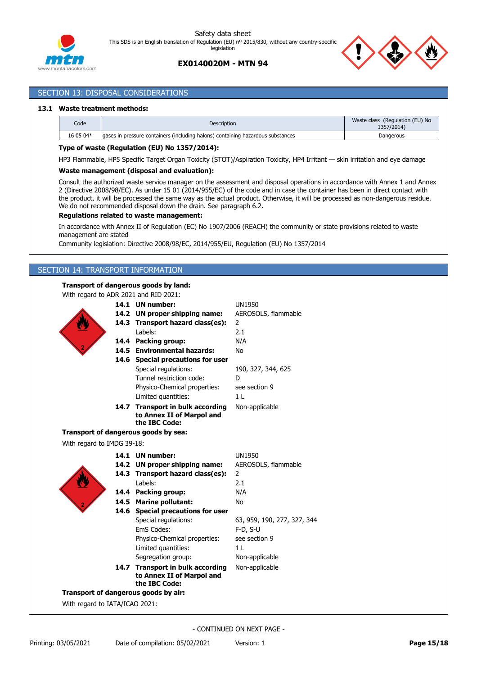



# **EX0140020M - MTN 94**

### SECTION 13: DISPOSAL CONSIDERATIONS

### **13.1 Waste treatment methods:**

| Code      | <b>Description</b>                                                              | Waste class (Regulation (EU) No<br>1357/2014) |
|-----------|---------------------------------------------------------------------------------|-----------------------------------------------|
| 16 05 04* | aases in pressure containers (including halons) containing hazardous substances | Dangerous                                     |

### **Type of waste (Regulation (EU) No 1357/2014):**

HP3 Flammable, HP5 Specific Target Organ Toxicity (STOT)/Aspiration Toxicity, HP4 Irritant — skin irritation and eye damage

### **Waste management (disposal and evaluation):**

Consult the authorized waste service manager on the assessment and disposal operations in accordance with Annex 1 and Annex 2 (Directive 2008/98/EC). As under 15 01 (2014/955/EC) of the code and in case the container has been in direct contact with the product, it will be processed the same way as the actual product. Otherwise, it will be processed as non-dangerous residue. We do not recommended disposal down the drain. See paragraph 6.2.

### **Regulations related to waste management:**

In accordance with Annex II of Regulation (EC) No 1907/2006 (REACH) the community or state provisions related to waste management are stated

Community legislation: Directive 2008/98/EC, 2014/955/EU, Regulation (EU) No 1357/2014

# SECTION 14: TRANSPORT INFORMATION

# **Transport of dangerous goods by land:**

|                              | <b>UN1950</b>                                                                                                                                                                                                                                                                                                                                                                                                                                                                                                                                                                                                                                                                                                                                         |
|------------------------------|-------------------------------------------------------------------------------------------------------------------------------------------------------------------------------------------------------------------------------------------------------------------------------------------------------------------------------------------------------------------------------------------------------------------------------------------------------------------------------------------------------------------------------------------------------------------------------------------------------------------------------------------------------------------------------------------------------------------------------------------------------|
|                              | AEROSOLS, flammable                                                                                                                                                                                                                                                                                                                                                                                                                                                                                                                                                                                                                                                                                                                                   |
|                              | $\overline{2}$                                                                                                                                                                                                                                                                                                                                                                                                                                                                                                                                                                                                                                                                                                                                        |
| Labels:                      | 2.1                                                                                                                                                                                                                                                                                                                                                                                                                                                                                                                                                                                                                                                                                                                                                   |
|                              | N/A                                                                                                                                                                                                                                                                                                                                                                                                                                                                                                                                                                                                                                                                                                                                                   |
|                              | <b>No</b>                                                                                                                                                                                                                                                                                                                                                                                                                                                                                                                                                                                                                                                                                                                                             |
|                              |                                                                                                                                                                                                                                                                                                                                                                                                                                                                                                                                                                                                                                                                                                                                                       |
| Special regulations:         | 190, 327, 344, 625                                                                                                                                                                                                                                                                                                                                                                                                                                                                                                                                                                                                                                                                                                                                    |
| Tunnel restriction code:     | D                                                                                                                                                                                                                                                                                                                                                                                                                                                                                                                                                                                                                                                                                                                                                     |
| Physico-Chemical properties: | see section 9                                                                                                                                                                                                                                                                                                                                                                                                                                                                                                                                                                                                                                                                                                                                         |
| Limited quantities:          | 1 <sub>L</sub>                                                                                                                                                                                                                                                                                                                                                                                                                                                                                                                                                                                                                                                                                                                                        |
|                              | Non-applicable                                                                                                                                                                                                                                                                                                                                                                                                                                                                                                                                                                                                                                                                                                                                        |
|                              |                                                                                                                                                                                                                                                                                                                                                                                                                                                                                                                                                                                                                                                                                                                                                       |
|                              |                                                                                                                                                                                                                                                                                                                                                                                                                                                                                                                                                                                                                                                                                                                                                       |
|                              |                                                                                                                                                                                                                                                                                                                                                                                                                                                                                                                                                                                                                                                                                                                                                       |
|                              |                                                                                                                                                                                                                                                                                                                                                                                                                                                                                                                                                                                                                                                                                                                                                       |
|                              | <b>UN1950</b>                                                                                                                                                                                                                                                                                                                                                                                                                                                                                                                                                                                                                                                                                                                                         |
|                              | AEROSOLS, flammable                                                                                                                                                                                                                                                                                                                                                                                                                                                                                                                                                                                                                                                                                                                                   |
|                              | $\overline{2}$                                                                                                                                                                                                                                                                                                                                                                                                                                                                                                                                                                                                                                                                                                                                        |
| Labels:                      | 2.1                                                                                                                                                                                                                                                                                                                                                                                                                                                                                                                                                                                                                                                                                                                                                   |
|                              | N/A                                                                                                                                                                                                                                                                                                                                                                                                                                                                                                                                                                                                                                                                                                                                                   |
| <b>Marine pollutant:</b>     | No                                                                                                                                                                                                                                                                                                                                                                                                                                                                                                                                                                                                                                                                                                                                                    |
|                              |                                                                                                                                                                                                                                                                                                                                                                                                                                                                                                                                                                                                                                                                                                                                                       |
| Special regulations:         | 63, 959, 190, 277, 327, 344                                                                                                                                                                                                                                                                                                                                                                                                                                                                                                                                                                                                                                                                                                                           |
| EmS Codes:                   | $F-D, S-U$                                                                                                                                                                                                                                                                                                                                                                                                                                                                                                                                                                                                                                                                                                                                            |
| Physico-Chemical properties: | see section 9                                                                                                                                                                                                                                                                                                                                                                                                                                                                                                                                                                                                                                                                                                                                         |
|                              | 1 <sub>L</sub>                                                                                                                                                                                                                                                                                                                                                                                                                                                                                                                                                                                                                                                                                                                                        |
|                              | Non-applicable                                                                                                                                                                                                                                                                                                                                                                                                                                                                                                                                                                                                                                                                                                                                        |
|                              | Non-applicable                                                                                                                                                                                                                                                                                                                                                                                                                                                                                                                                                                                                                                                                                                                                        |
|                              |                                                                                                                                                                                                                                                                                                                                                                                                                                                                                                                                                                                                                                                                                                                                                       |
|                              |                                                                                                                                                                                                                                                                                                                                                                                                                                                                                                                                                                                                                                                                                                                                                       |
|                              |                                                                                                                                                                                                                                                                                                                                                                                                                                                                                                                                                                                                                                                                                                                                                       |
|                              |                                                                                                                                                                                                                                                                                                                                                                                                                                                                                                                                                                                                                                                                                                                                                       |
|                              | With regard to ADR 2021 and RID 2021:<br>14.1 UN number:<br>14.2 UN proper shipping name:<br>14.3 Transport hazard class(es):<br>14.4 Packing group:<br>14.5 Environmental hazards:<br>14.6 Special precautions for user<br>14.7 Transport in bulk according<br>to Annex II of Marpol and<br>the IBC Code:<br>Transport of dangerous goods by sea:<br>With regard to IMDG 39-18:<br>14.1 UN number:<br>14.2 UN proper shipping name:<br>14.3 Transport hazard class(es):<br>14.4 Packing group:<br>14.5<br>14.6 Special precautions for user<br>Limited quantities:<br>Segregation group:<br>14.7 Transport in bulk according<br>to Annex II of Marpol and<br>the IBC Code:<br>Transport of dangerous goods by air:<br>With regard to IATA/ICAO 2021: |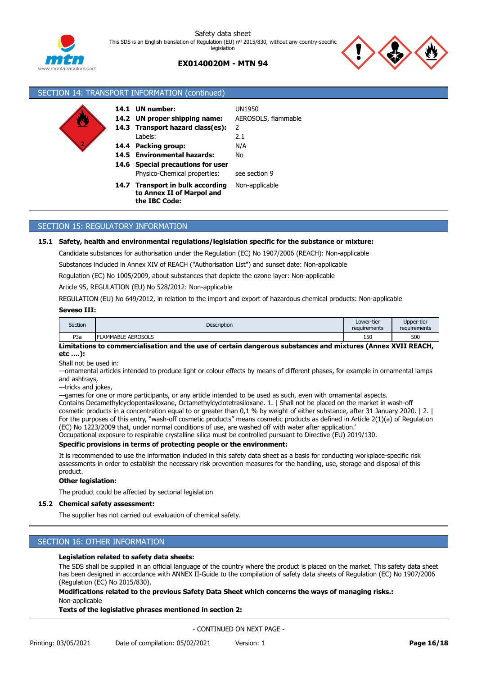

# **EX0140020M - MTN 94**



| SECTION 14: TRANSPORT INFORMATION (continued) |              |                                                                                                                                                                                                                         |                                                                         |
|-----------------------------------------------|--------------|-------------------------------------------------------------------------------------------------------------------------------------------------------------------------------------------------------------------------|-------------------------------------------------------------------------|
|                                               | 14.1<br>14.6 | UN number:<br>14.2 UN proper shipping name:<br>14.3 Transport hazard class(es):<br>Labels:<br>14.4 Packing group:<br>14.5 Environmental hazards:<br><b>Special precautions for user</b><br>Physico-Chemical properties: | UN1950<br>AEROSOLS, flammable<br>2<br>2.1<br>N/A<br>No<br>see section 9 |
|                                               |              | 14.7 Transport in bulk according<br>to Annex II of Marpol and<br>the IBC Code:                                                                                                                                          | Non-applicable                                                          |

# SECTION 15: REGULATORY INFORMATION

### **15.1 Safety, health and environmental regulations/legislation specific for the substance or mixture:**

Candidate substances for authorisation under the Regulation (EC) No 1907/2006 (REACH): Non-applicable

Substances included in Annex XIV of REACH ("Authorisation List") and sunset date: Non-applicable

Regulation (EC) No 1005/2009, about substances that deplete the ozone layer: Non-applicable

Article 95, REGULATION (EU) No 528/2012: Non-applicable

REGULATION (EU) No 649/2012, in relation to the import and export of hazardous chemical products: Non-applicable

### **Seveso III:**

| Section | Description              | Lower-tier<br>requirements | Upper-tier<br>requirements |
|---------|--------------------------|----------------------------|----------------------------|
| P3a     | <b>LAMMABLE AEROSOLS</b> | 150                        | 500                        |

### **Limitations to commercialisation and the use of certain dangerous substances and mixtures (Annex XVII REACH, etc ….):**

Shall not be used in:

—ornamental articles intended to produce light or colour effects by means of different phases, for example in ornamental lamps and ashtrays,

—tricks and jokes,

—games for one or more participants, or any article intended to be used as such, even with ornamental aspects.

Contains Decamethylcyclopentasiloxane, Octamethylcyclotetrasiloxane. 1. | Shall not be placed on the market in wash-off cosmetic products in a concentration equal to or greater than 0,1 % by weight of either substance, after 31 January 2020. | 2. | For the purposes of this entry, "wash-off cosmetic products" means cosmetic products as defined in Article 2(1)(a) of Regulation (EC) No 1223/2009 that, under normal conditions of use, are washed off with water after application.'

Occupational exposure to respirable crystalline silica must be controlled pursuant to Directive (EU) 2019/130.

# **Specific provisions in terms of protecting people or the environment:**

It is recommended to use the information included in this safety data sheet as a basis for conducting workplace-specific risk assessments in order to establish the necessary risk prevention measures for the handling, use, storage and disposal of this product.

### **Other legislation:**

The product could be affected by sectorial legislation

### **15.2 Chemical safety assessment:**

The supplier has not carried out evaluation of chemical safety.

### SECTION 16: OTHER INFORMATION

### **Legislation related to safety data sheets:**

The SDS shall be supplied in an official language of the country where the product is placed on the market. This safety data sheet has been designed in accordance with ANNEX II-Guide to the compilation of safety data sheets of Regulation (EC) No 1907/2006 (Regulation (EC) No 2015/830).

**Modifications related to the previous Safety Data Sheet which concerns the ways of managing risks.:** Non-applicable

### **Texts of the legislative phrases mentioned in section 2:**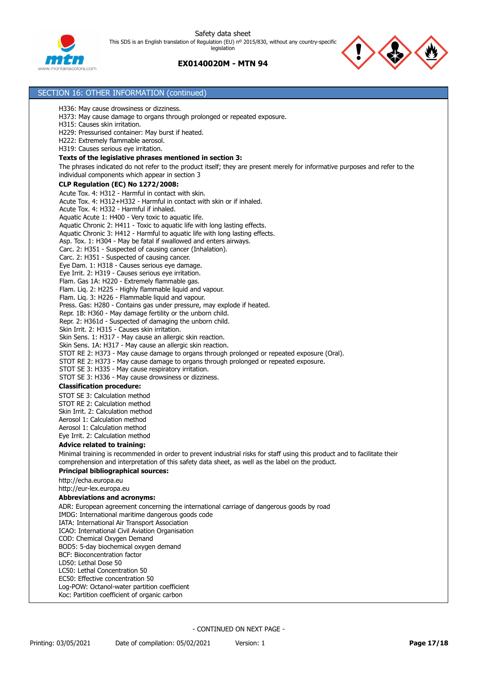

# **EX0140020M - MTN 94**



| SECTION 16: OTHER INFORMATION (continued)                                                                                                                                                                                                                                                                                                                                                                                                                                                                                                                                                                                                                                                                                                                                                                                                                                                                                                                                                                                                                                                                                                                                                                                                                                                                                                                                                                                       |
|---------------------------------------------------------------------------------------------------------------------------------------------------------------------------------------------------------------------------------------------------------------------------------------------------------------------------------------------------------------------------------------------------------------------------------------------------------------------------------------------------------------------------------------------------------------------------------------------------------------------------------------------------------------------------------------------------------------------------------------------------------------------------------------------------------------------------------------------------------------------------------------------------------------------------------------------------------------------------------------------------------------------------------------------------------------------------------------------------------------------------------------------------------------------------------------------------------------------------------------------------------------------------------------------------------------------------------------------------------------------------------------------------------------------------------|
| H336: May cause drowsiness or dizziness.<br>H373: May cause damage to organs through prolonged or repeated exposure.<br>H315: Causes skin irritation.<br>H229: Pressurised container: May burst if heated.<br>H222: Extremely flammable aerosol.                                                                                                                                                                                                                                                                                                                                                                                                                                                                                                                                                                                                                                                                                                                                                                                                                                                                                                                                                                                                                                                                                                                                                                                |
| H319: Causes serious eye irritation.                                                                                                                                                                                                                                                                                                                                                                                                                                                                                                                                                                                                                                                                                                                                                                                                                                                                                                                                                                                                                                                                                                                                                                                                                                                                                                                                                                                            |
| Texts of the legislative phrases mentioned in section 3:                                                                                                                                                                                                                                                                                                                                                                                                                                                                                                                                                                                                                                                                                                                                                                                                                                                                                                                                                                                                                                                                                                                                                                                                                                                                                                                                                                        |
| The phrases indicated do not refer to the product itself; they are present merely for informative purposes and refer to the<br>individual components which appear in section 3                                                                                                                                                                                                                                                                                                                                                                                                                                                                                                                                                                                                                                                                                                                                                                                                                                                                                                                                                                                                                                                                                                                                                                                                                                                  |
| <b>CLP Regulation (EC) No 1272/2008:</b>                                                                                                                                                                                                                                                                                                                                                                                                                                                                                                                                                                                                                                                                                                                                                                                                                                                                                                                                                                                                                                                                                                                                                                                                                                                                                                                                                                                        |
| Acute Tox. 4: H312 - Harmful in contact with skin.<br>Acute Tox. 4: H312+H332 - Harmful in contact with skin or if inhaled.<br>Acute Tox. 4: H332 - Harmful if inhaled.<br>Aquatic Acute 1: H400 - Very toxic to aquatic life.<br>Aquatic Chronic 2: H411 - Toxic to aquatic life with long lasting effects.<br>Aquatic Chronic 3: H412 - Harmful to aquatic life with long lasting effects.<br>Asp. Tox. 1: H304 - May be fatal if swallowed and enters airways.<br>Carc. 2: H351 - Suspected of causing cancer (Inhalation).<br>Carc. 2: H351 - Suspected of causing cancer.<br>Eye Dam. 1: H318 - Causes serious eye damage.<br>Eye Irrit. 2: H319 - Causes serious eye irritation.<br>Flam. Gas 1A: H220 - Extremely flammable gas.<br>Flam. Liq. 2: H225 - Highly flammable liquid and vapour.<br>Flam. Liq. 3: H226 - Flammable liquid and vapour.<br>Press. Gas: H280 - Contains gas under pressure, may explode if heated.<br>Repr. 1B: H360 - May damage fertility or the unborn child.<br>Repr. 2: H361d - Suspected of damaging the unborn child.<br>Skin Irrit, 2: H315 - Causes skin irritation.<br>Skin Sens. 1: H317 - May cause an allergic skin reaction.<br>Skin Sens. 1A: H317 - May cause an allergic skin reaction.<br>STOT RE 2: H373 - May cause damage to organs through prolonged or repeated exposure (Oral).<br>STOT RE 2: H373 - May cause damage to organs through prolonged or repeated exposure. |
| STOT SE 3: H335 - May cause respiratory irritation.<br>STOT SE 3: H336 - May cause drowsiness or dizziness.                                                                                                                                                                                                                                                                                                                                                                                                                                                                                                                                                                                                                                                                                                                                                                                                                                                                                                                                                                                                                                                                                                                                                                                                                                                                                                                     |
| <b>Classification procedure:</b>                                                                                                                                                                                                                                                                                                                                                                                                                                                                                                                                                                                                                                                                                                                                                                                                                                                                                                                                                                                                                                                                                                                                                                                                                                                                                                                                                                                                |
| STOT SE 3: Calculation method<br>STOT RE 2: Calculation method<br>Skin Irrit, 2: Calculation method<br>Aerosol 1: Calculation method<br>Aerosol 1: Calculation method<br>Eye Irrit. 2: Calculation method                                                                                                                                                                                                                                                                                                                                                                                                                                                                                                                                                                                                                                                                                                                                                                                                                                                                                                                                                                                                                                                                                                                                                                                                                       |
| <b>Advice related to training:</b>                                                                                                                                                                                                                                                                                                                                                                                                                                                                                                                                                                                                                                                                                                                                                                                                                                                                                                                                                                                                                                                                                                                                                                                                                                                                                                                                                                                              |
| Minimal training is recommended in order to prevent industrial risks for staff using this product and to facilitate their<br>comprehension and interpretation of this safety data sheet, as well as the label on the product.                                                                                                                                                                                                                                                                                                                                                                                                                                                                                                                                                                                                                                                                                                                                                                                                                                                                                                                                                                                                                                                                                                                                                                                                   |
| <b>Principal bibliographical sources:</b>                                                                                                                                                                                                                                                                                                                                                                                                                                                                                                                                                                                                                                                                                                                                                                                                                                                                                                                                                                                                                                                                                                                                                                                                                                                                                                                                                                                       |
| http://echa.europa.eu<br>http://eur-lex.europa.eu                                                                                                                                                                                                                                                                                                                                                                                                                                                                                                                                                                                                                                                                                                                                                                                                                                                                                                                                                                                                                                                                                                                                                                                                                                                                                                                                                                               |
| <b>Abbreviations and acronyms:</b>                                                                                                                                                                                                                                                                                                                                                                                                                                                                                                                                                                                                                                                                                                                                                                                                                                                                                                                                                                                                                                                                                                                                                                                                                                                                                                                                                                                              |
| ADR: European agreement concerning the international carriage of dangerous goods by road<br>IMDG: International maritime dangerous goods code<br>IATA: International Air Transport Association<br>ICAO: International Civil Aviation Organisation<br>COD: Chemical Oxygen Demand<br>BOD5: 5-day biochemical oxygen demand<br>BCF: Bioconcentration factor<br>LD50: Lethal Dose 50                                                                                                                                                                                                                                                                                                                                                                                                                                                                                                                                                                                                                                                                                                                                                                                                                                                                                                                                                                                                                                               |
| LC50: Lethal Concentration 50<br>EC50: Effective concentration 50<br>Log-POW: Octanol-water partition coefficient                                                                                                                                                                                                                                                                                                                                                                                                                                                                                                                                                                                                                                                                                                                                                                                                                                                                                                                                                                                                                                                                                                                                                                                                                                                                                                               |

Koc: Partition coefficient of organic carbon